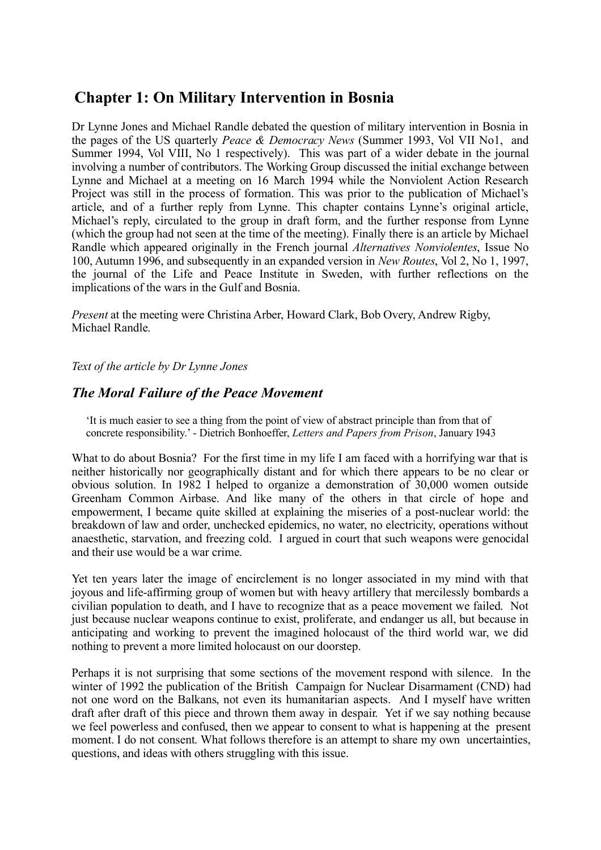# **Chapter 1: On Military Intervention in Bosnia**

Dr Lynne Jones and Michael Randle debated the question of military intervention in Bosnia in the pages of the US quarterly *Peace & Democracy News* (Summer 1993, Vol VII No1, and Summer 1994, Vol VIII, No 1 respectively). This was part of a wider debate in the journal involving a number of contributors. The Working Group discussed the initial exchange between Lynne and Michael at a meeting on 16 March 1994 while the Nonviolent Action Research Project was still in the process of formation. This was prior to the publication of Michael's article, and of a further reply from Lynne. This chapter contains Lynne's original article, Michael's reply, circulated to the group in draft form, and the further response from Lynne (which the group had not seen at the time of the meeting). Finally there is an article by Michael Randle which appeared originally in the French journal *Alternatives Nonviolentes*, Issue No 100, Autumn 1996, and subsequently in an expanded version in *New Routes*, Vol 2, No 1, 1997, the journal of the Life and Peace Institute in Sweden, with further reflections on the implications of the wars in the Gulf and Bosnia.

*Present* at the meeting were Christina Arber, Howard Clark, Bob Overy, Andrew Rigby, Michael Randle.

# *Text of the article by Dr Lynne Jones*

# *The Moral Failure of the Peace Movement*

'It is much easier to see a thing from the point of view of abstract principle than from that of concrete responsibility.' - Dietrich Bonhoeffer, *Letters and Papers from Prison*, January I943

What to do about Bosnia? For the first time in my life I am faced with a horrifying war that is neither historically nor geographically distant and for which there appears to be no clear or obvious solution. In 1982 I helped to organize a demonstration of 30,000 women outside Greenham Common Airbase. And like many of the others in that circle of hope and empowerment, I became quite skilled at explaining the miseries of a post-nuclear world: the breakdown of law and order, unchecked epidemics, no water, no electricity, operations without anaesthetic, starvation, and freezing cold. I argued in court that such weapons were genocidal and their use would be a war crime.

Yet ten years later the image of encirclement is no longer associated in my mind with that joyous and life-affirming group of women but with heavy artillery that mercilessly bombards a civilian population to death, and I have to recognize that as a peace movement we failed. Not just because nuclear weapons continue to exist, proliferate, and endanger us all, but because in anticipating and working to prevent the imagined holocaust of the third world war, we did nothing to prevent a more limited holocaust on our doorstep.

Perhaps it is not surprising that some sections of the movement respond with silence. In the winter of 1992 the publication of the British Campaign for Nuclear Disarmament (CND) had not one word on the Balkans, not even its humanitarian aspects. And I myself have written draft after draft of this piece and thrown them away in despair. Yet if we say nothing because we feel powerless and confused, then we appear to consent to what is happening at the present moment. I do not consent. What follows therefore is an attempt to share my own uncertainties, questions, and ideas with others struggling with this issue.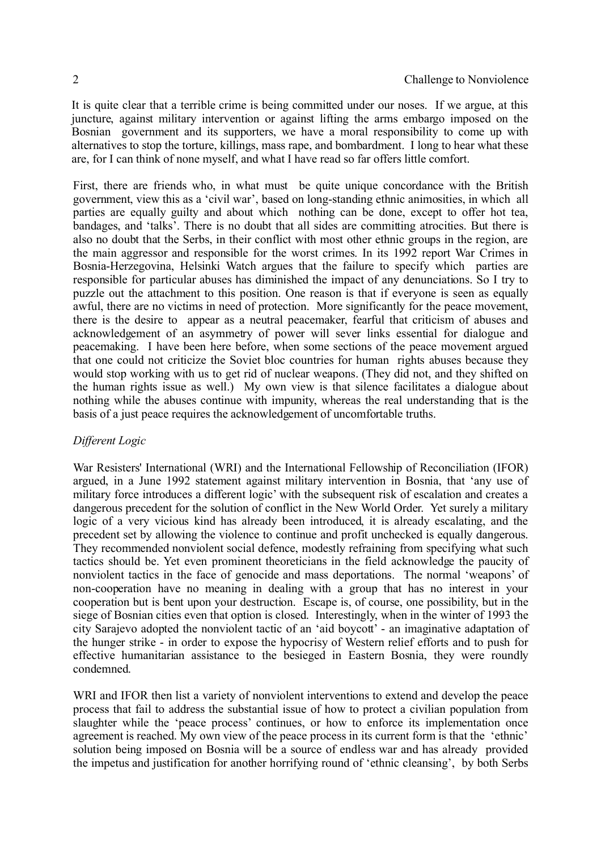It is quite clear that a terrible crime is being committed under our noses. If we argue, at this juncture, against military intervention or against lifting the arms embargo imposed on the Bosnian government and its supporters, we have a moral responsibility to come up with alternatives to stop the torture, killings, mass rape, and bombardment. I long to hear what these are, for I can think of none myself, and what I have read so far offers little comfort.

First, there are friends who, in what must be quite unique concordance with the British government, view this as a 'civil war', based on long-standing ethnic animosities, in which all parties are equally guilty and about which nothing can be done, except to offer hot tea, bandages, and 'talks'. There is no doubt that all sides are committing atrocities. But there is also no doubt that the Serbs, in their conflict with most other ethnic groups in the region, are the main aggressor and responsible for the worst crimes. In its 1992 report War Crimes in Bosnia-Herzegovina, Helsinki Watch argues that the failure to specify which parties are responsible for particular abuses has diminished the impact of any denunciations. So I try to puzzle out the attachment to this position. One reason is that if everyone is seen as equally awful, there are no victims in need of protection. More significantly for the peace movement, there is the desire to appear as a neutral peacemaker, fearful that criticism of abuses and acknowledgement of an asymmetry of power will sever links essential for dialogue and peacemaking. I have been here before, when some sections of the peace movement argued that one could not criticize the Soviet bloc countries for human rights abuses because they would stop working with us to get rid of nuclear weapons. (They did not, and they shifted on the human rights issue as well.) My own view is that silence facilitates a dialogue about nothing while the abuses continue with impunity, whereas the real understanding that is the basis of a just peace requires the acknowledgement of uncomfortable truths.

# *Different Logic*

War Resisters' International (WRI) and the International Fellowship of Reconciliation (IFOR) argued, in a June 1992 statement against military intervention in Bosnia, that 'any use of military force introduces a different logic' with the subsequent risk of escalation and creates a dangerous precedent for the solution of conflict in the New World Order. Yet surely a military logic of a very vicious kind has already been introduced, it is already escalating, and the precedent set by allowing the violence to continue and profit unchecked is equally dangerous. They recommended nonviolent social defence, modestly refraining from specifying what such tactics should be. Yet even prominent theoreticians in the field acknowledge the paucity of nonviolent tactics in the face of genocide and mass deportations. The normal 'weapons' of non-cooperation have no meaning in dealing with a group that has no interest in your cooperation but is bent upon your destruction. Escape is, of course, one possibility, but in the siege of Bosnian cities even that option is closed. Interestingly, when in the winter of 1993 the city Sarajevo adopted the nonviolent tactic of an 'aid boycott' - an imaginative adaptation of the hunger strike - in order to expose the hypocrisy of Western relief efforts and to push for effective humanitarian assistance to the besieged in Eastern Bosnia, they were roundly condemned.

WRI and IFOR then list a variety of nonviolent interventions to extend and develop the peace process that fail to address the substantial issue of how to protect a civilian population from slaughter while the 'peace process' continues, or how to enforce its implementation once agreement is reached. My own view of the peace process in its current form is that the 'ethnic' solution being imposed on Bosnia will be a source of endless war and has already provided the impetus and justification for another horrifying round of 'ethnic cleansing', by both Serbs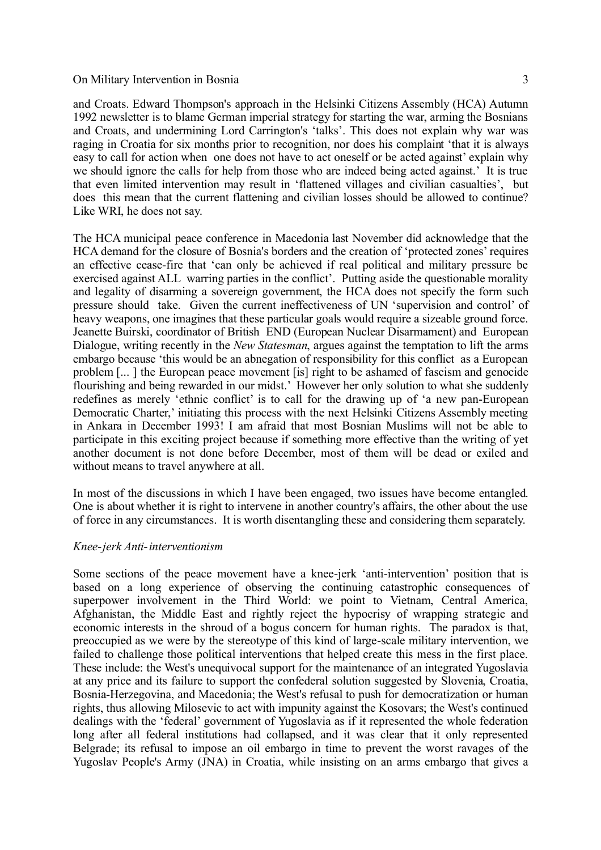and Croats. Edward Thompson's approach in the Helsinki Citizens Assembly (HCA) Autumn 1992 newsletter is to blame German imperial strategy for starting the war, arming the Bosnians and Croats, and undermining Lord Carrington's 'talks'. This does not explain why war was raging in Croatia for six months prior to recognition, nor does his complaint 'that it is always easy to call for action when one does not have to act oneself or be acted against' explain why we should ignore the calls for help from those who are indeed being acted against.' It is true that even limited intervention may result in 'flattened villages and civilian casualties', but does this mean that the current flattening and civilian losses should be allowed to continue? Like WRI, he does not say.

The HCA municipal peace conference in Macedonia last November did acknowledge that the HCA demand for the closure of Bosnia's borders and the creation of 'protected zones' requires an effective cease-fire that 'can only be achieved if real political and military pressure be exercised against ALL warring parties in the conflict'. Putting aside the questionable morality and legality of disarming a sovereign government, the HCA does not specify the form such pressure should take. Given the current ineffectiveness of UN 'supervision and control' of heavy weapons, one imagines that these particular goals would require a sizeable ground force. Jeanette Buirski, coordinator of British END (European Nuclear Disarmament) and European Dialogue, writing recently in the *New Statesman*, argues against the temptation to lift the arms embargo because 'this would be an abnegation of responsibility for this conflict as a European problem [... ] the European peace movement [is] right to be ashamed of fascism and genocide flourishing and being rewarded in our midst.' However her only solution to what she suddenly redefines as merely 'ethnic conflict' is to call for the drawing up of 'a new pan-European Democratic Charter,' initiating this process with the next Helsinki Citizens Assembly meeting in Ankara in December 1993! I am afraid that most Bosnian Muslims will not be able to participate in this exciting project because if something more effective than the writing of yet another document is not done before December, most of them will be dead or exiled and without means to travel anywhere at all.

In most of the discussions in which I have been engaged, two issues have become entangled. One is about whether it is right to intervene in another country's affairs, the other about the use of force in any circumstances. It is worth disentangling these and considering them separately.

### *Knee-jerk Anti-interventionism*

Some sections of the peace movement have a knee-jerk 'anti-intervention' position that is based on a long experience of observing the continuing catastrophic consequences of superpower involvement in the Third World: we point to Vietnam, Central America, Afghanistan, the Middle East and rightly reject the hypocrisy of wrapping strategic and economic interests in the shroud of a bogus concern for human rights. The paradox is that, preoccupied as we were by the stereotype of this kind of large-scale military intervention, we failed to challenge those political interventions that helped create this mess in the first place. These include: the West's unequivocal support for the maintenance of an integrated Yugoslavia at any price and its failure to support the confederal solution suggested by Slovenia, Croatia, Bosnia-Herzegovina, and Macedonia; the West's refusal to push for democratization or human rights, thus allowing Milosevic to act with impunity against the Kosovars; the West's continued dealings with the 'federal' government of Yugoslavia as if it represented the whole federation long after all federal institutions had collapsed, and it was clear that it only represented Belgrade; its refusal to impose an oil embargo in time to prevent the worst ravages of the Yugoslav People's Army (JNA) in Croatia, while insisting on an arms embargo that gives a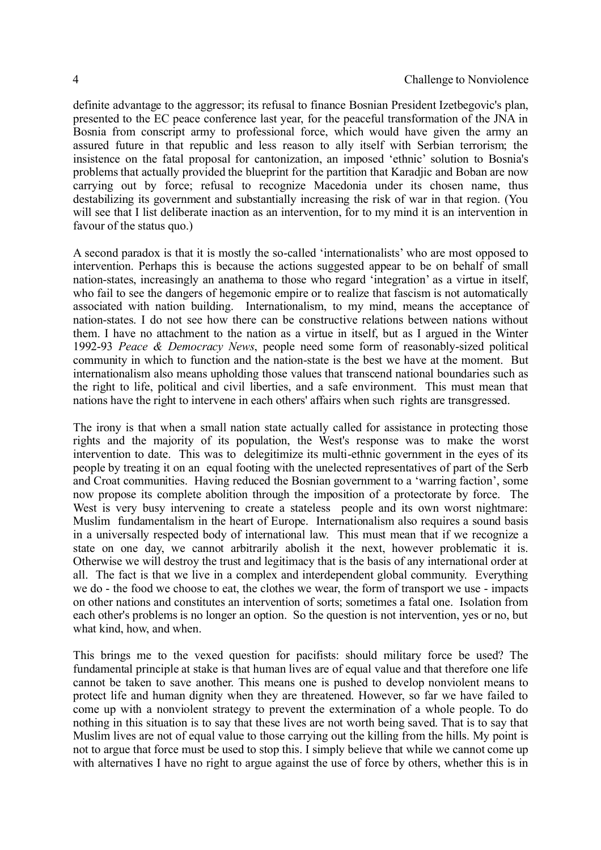definite advantage to the aggressor; its refusal to finance Bosnian President Izetbegovic's plan, presented to the EC peace conference last year, for the peaceful transformation of the JNA in Bosnia from conscript army to professional force, which would have given the army an assured future in that republic and less reason to ally itself with Serbian terrorism; the insistence on the fatal proposal for cantonization, an imposed 'ethnic' solution to Bosnia's problems that actually provided the blueprint for the partition that Karadjic and Boban are now carrying out by force; refusal to recognize Macedonia under its chosen name, thus destabilizing its government and substantially increasing the risk of war in that region. (You will see that I list deliberate inaction as an intervention, for to my mind it is an intervention in favour of the status quo.)

A second paradox is that it is mostly the so-called 'internationalists' who are most opposed to intervention. Perhaps this is because the actions suggested appear to be on behalf of small nation-states, increasingly an anathema to those who regard 'integration' as a virtue in itself, who fail to see the dangers of hegemonic empire or to realize that fascism is not automatically associated with nation building. Internationalism, to my mind, means the acceptance of nation-states. I do not see how there can be constructive relations between nations without them. I have no attachment to the nation as a virtue in itself, but as I argued in the Winter 1992-93 *Peace & Democracy News*, people need some form of reasonably-sized political community in which to function and the nation-state is the best we have at the moment. But internationalism also means upholding those values that transcend national boundaries such as the right to life, political and civil liberties, and a safe environment. This must mean that nations have the right to intervene in each others' affairs when such rights are transgressed.

The irony is that when a small nation state actually called for assistance in protecting those rights and the majority of its population, the West's response was to make the worst intervention to date. This was to delegitimize its multi-ethnic government in the eyes of its people by treating it on an equal footing with the unelected representatives of part of the Serb and Croat communities. Having reduced the Bosnian government to a 'warring faction', some now propose its complete abolition through the imposition of a protectorate by force. The West is very busy intervening to create a stateless people and its own worst nightmare: Muslim fundamentalism in the heart of Europe. Internationalism also requires a sound basis in a universally respected body of international law. This must mean that if we recognize a state on one day, we cannot arbitrarily abolish it the next, however problematic it is. Otherwise we will destroy the trust and legitimacy that is the basis of any international order at all. The fact is that we live in a complex and interdependent global community. Everything we do - the food we choose to eat, the clothes we wear, the form of transport we use - impacts on other nations and constitutes an intervention of sorts; sometimes a fatal one. Isolation from each other's problems is no longer an option. So the question is not intervention, yes or no, but what kind, how, and when.

This brings me to the vexed question for pacifists: should military force be used? The fundamental principle at stake is that human lives are of equal value and that therefore one life cannot be taken to save another. This means one is pushed to develop nonviolent means to protect life and human dignity when they are threatened. However, so far we have failed to come up with a nonviolent strategy to prevent the extermination of a whole people. To do nothing in this situation is to say that these lives are not worth being saved. That is to say that Muslim lives are not of equal value to those carrying out the killing from the hills. My point is not to argue that force must be used to stop this. I simply believe that while we cannot come up with alternatives I have no right to argue against the use of force by others, whether this is in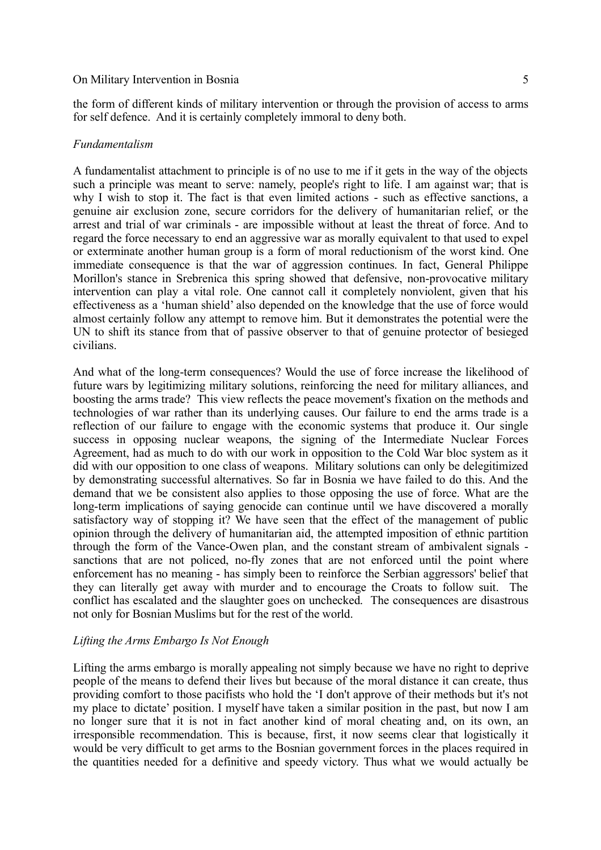the form of different kinds of military intervention or through the provision of access to arms for self defence. And it is certainly completely immoral to deny both.

#### *Fundamentalism*

A fundamentalist attachment to principle is of no use to me if it gets in the way of the objects such a principle was meant to serve: namely, people's right to life. I am against war; that is why I wish to stop it. The fact is that even limited actions - such as effective sanctions, a genuine air exclusion zone, secure corridors for the delivery of humanitarian relief, or the arrest and trial of war criminals - are impossible without at least the threat of force. And to regard the force necessary to end an aggressive war as morally equivalent to that used to expel or exterminate another human group is a form of moral reductionism of the worst kind. One immediate consequence is that the war of aggression continues. In fact, General Philippe Morillon's stance in Srebrenica this spring showed that defensive, non-provocative military intervention can play a vital role. One cannot call it completely nonviolent, given that his effectiveness as a 'human shield' also depended on the knowledge that the use of force would almost certainly follow any attempt to remove him. But it demonstrates the potential were the UN to shift its stance from that of passive observer to that of genuine protector of besieged civilians.

And what of the long-term consequences? Would the use of force increase the likelihood of future wars by legitimizing military solutions, reinforcing the need for military alliances, and boosting the arms trade? This view reflects the peace movement's fixation on the methods and technologies of war rather than its underlying causes. Our failure to end the arms trade is a reflection of our failure to engage with the economic systems that produce it. Our single success in opposing nuclear weapons, the signing of the Intermediate Nuclear Forces Agreement, had as much to do with our work in opposition to the Cold War bloc system as it did with our opposition to one class of weapons. Military solutions can only be delegitimized by demonstrating successful alternatives. So far in Bosnia we have failed to do this. And the demand that we be consistent also applies to those opposing the use of force. What are the long-term implications of saying genocide can continue until we have discovered a morally satisfactory way of stopping it? We have seen that the effect of the management of public opinion through the delivery of humanitarian aid, the attempted imposition of ethnic partition through the form of the Vance-Owen plan, and the constant stream of ambivalent signals sanctions that are not policed, no-fly zones that are not enforced until the point where enforcement has no meaning - has simply been to reinforce the Serbian aggressors' belief that they can literally get away with murder and to encourage the Croats to follow suit. The conflict has escalated and the slaughter goes on unchecked. The consequences are disastrous not only for Bosnian Muslims but for the rest of the world.

### *Lifting the Arms Embargo Is Not Enough*

Lifting the arms embargo is morally appealing not simply because we have no right to deprive people of the means to defend their lives but because of the moral distance it can create, thus providing comfort to those pacifists who hold the 'I don't approve of their methods but it's not my place to dictate' position. I myself have taken a similar position in the past, but now I am no longer sure that it is not in fact another kind of moral cheating and, on its own, an irresponsible recommendation. This is because, first, it now seems clear that logistically it would be very difficult to get arms to the Bosnian government forces in the places required in the quantities needed for a definitive and speedy victory. Thus what we would actually be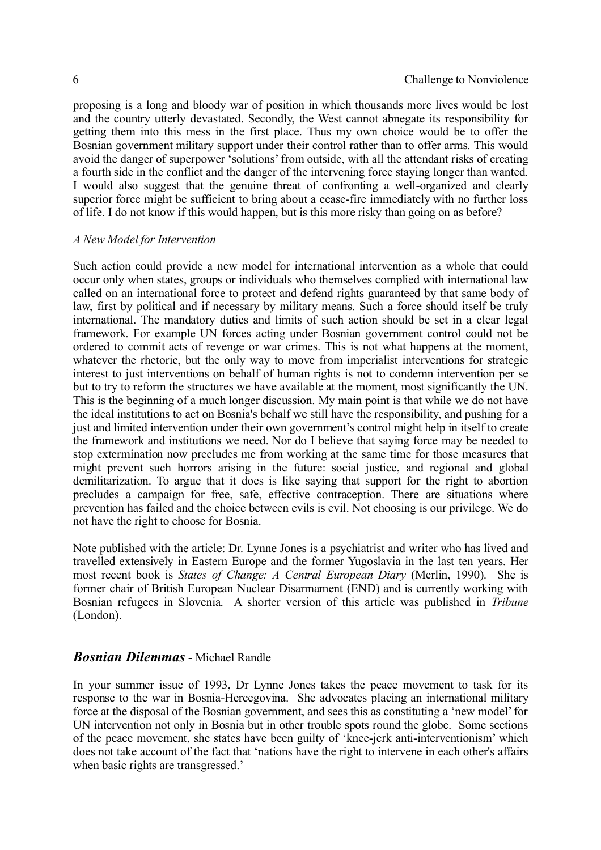proposing is a long and bloody war of position in which thousands more lives would be lost and the country utterly devastated. Secondly, the West cannot abnegate its responsibility for getting them into this mess in the first place. Thus my own choice would be to offer the Bosnian government military support under their control rather than to offer arms. This would avoid the danger of superpower 'solutions'from outside, with all the attendant risks of creating a fourth side in the conflict and the danger of the intervening force staying longer than wanted. I would also suggest that the genuine threat of confronting a well-organized and clearly superior force might be sufficient to bring about a cease-fire immediately with no further loss of life. I do not know if this would happen, but is this more risky than going on as before?

### *A New Model for Intervention*

Such action could provide a new model for international intervention as a whole that could occur only when states, groups or individuals who themselves complied with international law called on an international force to protect and defend rights guaranteed by that same body of law, first by political and if necessary by military means. Such a force should itself be truly international. The mandatory duties and limits of such action should be set in a clear legal framework. For example UN forces acting under Bosnian government control could not be ordered to commit acts of revenge or war crimes. This is not what happens at the moment, whatever the rhetoric, but the only way to move from imperialist interventions for strategic interest to just interventions on behalf of human rights is not to condemn intervention per se but to try to reform the structures we have available at the moment, most significantly the UN. This is the beginning of a much longer discussion. My main point is that while we do not have the ideal institutions to act on Bosnia's behalf we still have the responsibility, and pushing for a just and limited intervention under their own government's control might help in itself to create the framework and institutions we need. Nor do I believe that saying force may be needed to stop extermination now precludes me from working at the same time for those measures that might prevent such horrors arising in the future: social justice, and regional and global demilitarization. To argue that it does is like saying that support for the right to abortion precludes a campaign for free, safe, effective contraception. There are situations where prevention has failed and the choice between evils is evil. Not choosing is our privilege. We do not have the right to choose for Bosnia.

Note published with the article: Dr. Lynne Jones is a psychiatrist and writer who has lived and travelled extensively in Eastern Europe and the former Yugoslavia in the last ten years. Her most recent book is *States of Change: A Central European Diary* (Merlin, 1990). She is former chair of British European Nuclear Disarmament (END) and is currently working with Bosnian refugees in Slovenia. A shorter version of this article was published in *Tribune* (London).

# *Bosnian Dilemmas* - Michael Randle

In your summer issue of 1993, Dr Lynne Jones takes the peace movement to task for its response to the war in Bosnia-Hercegovina. She advocates placing an international military force at the disposal of the Bosnian government, and sees this as constituting a 'new model'for UN intervention not only in Bosnia but in other trouble spots round the globe. Some sections of the peace movement, she states have been guilty of 'knee-jerk anti-interventionism' which does not take account of the fact that 'nations have the right to intervene in each other's affairs when basic rights are transgressed.'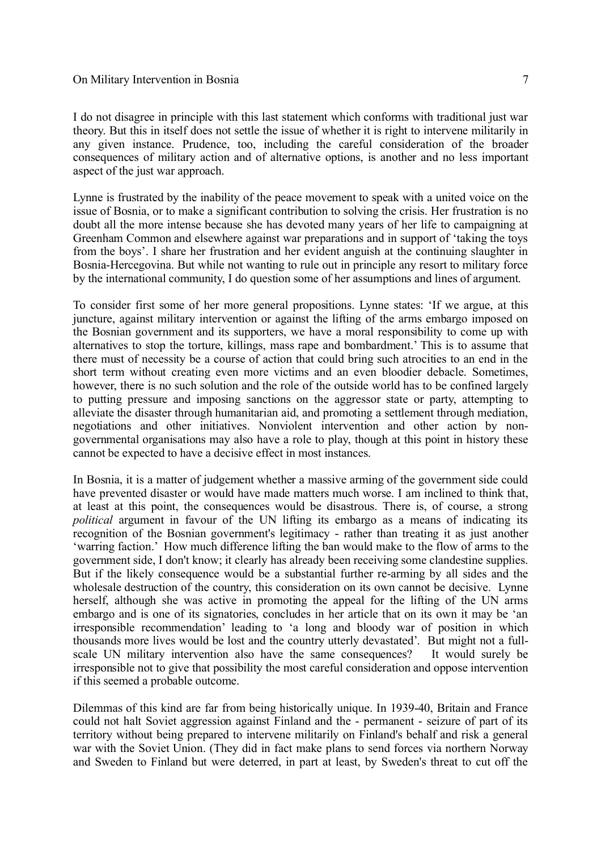I do not disagree in principle with this last statement which conforms with traditional just war theory. But this in itself does not settle the issue of whether it is right to intervene militarily in any given instance. Prudence, too, including the careful consideration of the broader consequences of military action and of alternative options, is another and no less important aspect of the just war approach.

Lynne is frustrated by the inability of the peace movement to speak with a united voice on the issue of Bosnia, or to make a significant contribution to solving the crisis. Her frustration is no doubt all the more intense because she has devoted many years of her life to campaigning at Greenham Common and elsewhere against war preparations and in support of 'taking the toys from the boys'. I share her frustration and her evident anguish at the continuing slaughter in Bosnia-Hercegovina. But while not wanting to rule out in principle any resort to military force by the international community, I do question some of her assumptions and lines of argument.

To consider first some of her more general propositions. Lynne states: 'If we argue, at this juncture, against military intervention or against the lifting of the arms embargo imposed on the Bosnian government and its supporters, we have a moral responsibility to come up with alternatives to stop the torture, killings, mass rape and bombardment.' This is to assume that there must of necessity be a course of action that could bring such atrocities to an end in the short term without creating even more victims and an even bloodier debacle. Sometimes, however, there is no such solution and the role of the outside world has to be confined largely to putting pressure and imposing sanctions on the aggressor state or party, attempting to alleviate the disaster through humanitarian aid, and promoting a settlement through mediation, negotiations and other initiatives. Nonviolent intervention and other action by nongovernmental organisations may also have a role to play, though at this point in history these cannot be expected to have a decisive effect in most instances.

In Bosnia, it is a matter of judgement whether a massive arming of the government side could have prevented disaster or would have made matters much worse. I am inclined to think that, at least at this point, the consequences would be disastrous. There is, of course, a strong *political* argument in favour of the UN lifting its embargo as a means of indicating its recognition of the Bosnian government's legitimacy - rather than treating it as just another 'warring faction.' How much difference lifting the ban would make to the flow of arms to the government side, I don't know; it clearly has already been receiving some clandestine supplies. But if the likely consequence would be a substantial further re-arming by all sides and the wholesale destruction of the country, this consideration on its own cannot be decisive. Lynne herself, although she was active in promoting the appeal for the lifting of the UN arms embargo and is one of its signatories, concludes in her article that on its own it may be 'an irresponsible recommendation' leading to 'a long and bloody war of position in which thousands more lives would be lost and the country utterly devastated'. But might not a fullscale UN military intervention also have the same consequences? It would surely be irresponsible not to give that possibility the most careful consideration and oppose intervention if this seemed a probable outcome.

Dilemmas of this kind are far from being historically unique. In 1939-40, Britain and France could not halt Soviet aggression against Finland and the - permanent - seizure of part of its territory without being prepared to intervene militarily on Finland's behalf and risk a general war with the Soviet Union. (They did in fact make plans to send forces via northern Norway and Sweden to Finland but were deterred, in part at least, by Sweden's threat to cut off the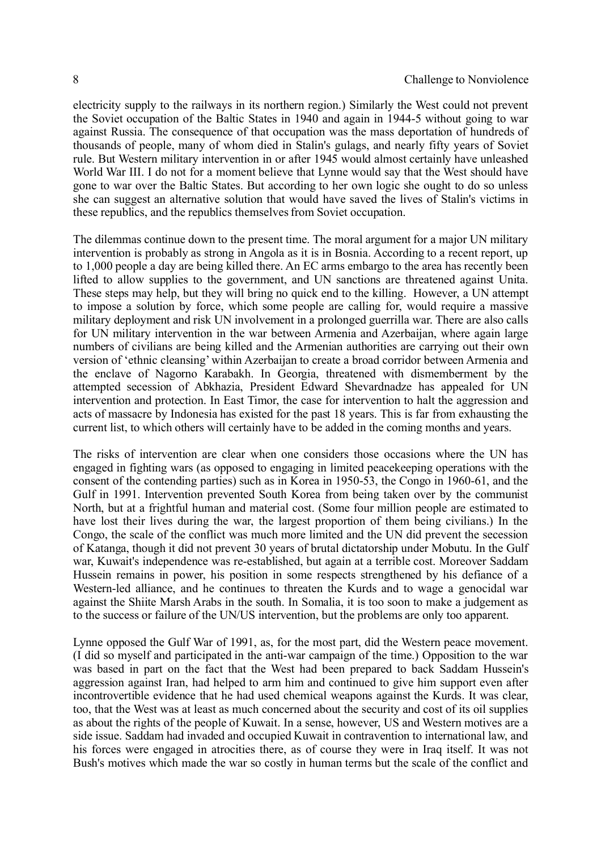electricity supply to the railways in its northern region.) Similarly the West could not prevent the Soviet occupation of the Baltic States in 1940 and again in 1944-5 without going to war against Russia. The consequence of that occupation was the mass deportation of hundreds of thousands of people, many of whom died in Stalin's gulags, and nearly fifty years of Soviet rule. But Western military intervention in or after 1945 would almost certainly have unleashed World War III. I do not for a moment believe that Lynne would say that the West should have gone to war over the Baltic States. But according to her own logic she ought to do so unless she can suggest an alternative solution that would have saved the lives of Stalin's victims in these republics, and the republics themselves from Soviet occupation.

The dilemmas continue down to the present time. The moral argument for a major UN military intervention is probably as strong in Angola as it is in Bosnia. According to a recent report, up to 1,000 people a day are being killed there. An EC arms embargo to the area has recently been lifted to allow supplies to the government, and UN sanctions are threatened against Unita. These steps may help, but they will bring no quick end to the killing. However, a UN attempt to impose a solution by force, which some people are calling for, would require a massive military deployment and risk UN involvement in a prolonged guerrilla war. There are also calls for UN military intervention in the war between Armenia and Azerbaijan, where again large numbers of civilians are being killed and the Armenian authorities are carrying out their own version of 'ethnic cleansing' within Azerbaijan to create a broad corridor between Armenia and the enclave of Nagorno Karabakh. In Georgia, threatened with dismemberment by the attempted secession of Abkhazia, President Edward Shevardnadze has appealed for UN intervention and protection. In East Timor, the case for intervention to halt the aggression and acts of massacre by Indonesia has existed for the past 18 years. This is far from exhausting the current list, to which others will certainly have to be added in the coming months and years.

The risks of intervention are clear when one considers those occasions where the UN has engaged in fighting wars (as opposed to engaging in limited peacekeeping operations with the consent of the contending parties) such as in Korea in 1950-53, the Congo in 1960-61, and the Gulf in 1991. Intervention prevented South Korea from being taken over by the communist North, but at a frightful human and material cost. (Some four million people are estimated to have lost their lives during the war, the largest proportion of them being civilians.) In the Congo, the scale of the conflict was much more limited and the UN did prevent the secession of Katanga, though it did not prevent 30 years of brutal dictatorship under Mobutu. In the Gulf war, Kuwait's independence was re-established, but again at a terrible cost. Moreover Saddam Hussein remains in power, his position in some respects strengthened by his defiance of a Western-led alliance, and he continues to threaten the Kurds and to wage a genocidal war against the Shiite Marsh Arabs in the south. In Somalia, it is too soon to make a judgement as to the success or failure of the UN/US intervention, but the problems are only too apparent.

Lynne opposed the Gulf War of 1991, as, for the most part, did the Western peace movement. (I did so myself and participated in the anti-war campaign of the time.) Opposition to the war was based in part on the fact that the West had been prepared to back Saddam Hussein's aggression against Iran, had helped to arm him and continued to give him support even after incontrovertible evidence that he had used chemical weapons against the Kurds. It was clear, too, that the West was at least as much concerned about the security and cost of its oil supplies as about the rights of the people of Kuwait. In a sense, however, US and Western motives are a side issue. Saddam had invaded and occupied Kuwait in contravention to international law, and his forces were engaged in atrocities there, as of course they were in Iraq itself. It was not Bush's motives which made the war so costly in human terms but the scale of the conflict and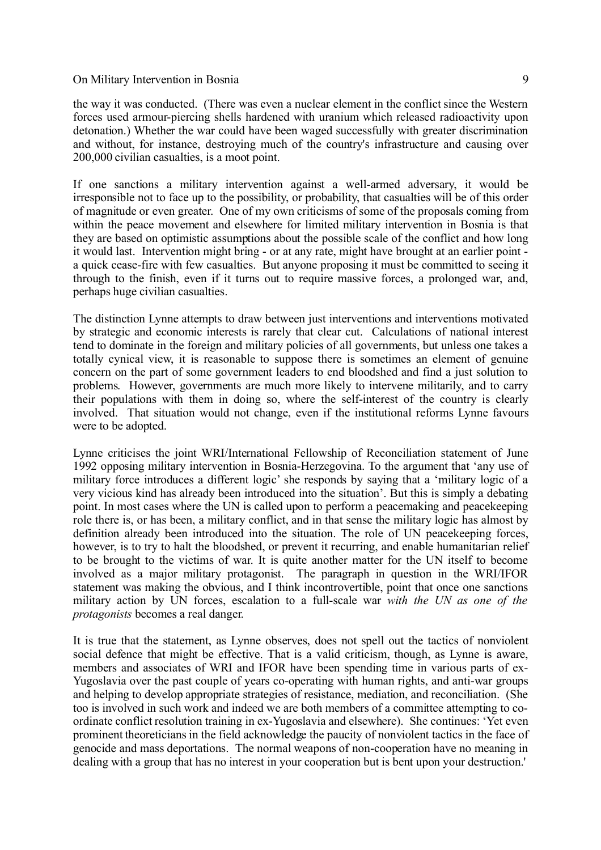the way it was conducted. (There was even a nuclear element in the conflict since the Western forces used armour-piercing shells hardened with uranium which released radioactivity upon detonation.) Whether the war could have been waged successfully with greater discrimination and without, for instance, destroying much of the country's infrastructure and causing over 200,000 civilian casualties, is a moot point.

If one sanctions a military intervention against a well-armed adversary, it would be irresponsible not to face up to the possibility, or probability, that casualties will be of this order of magnitude or even greater. One of my own criticisms of some of the proposals coming from within the peace movement and elsewhere for limited military intervention in Bosnia is that they are based on optimistic assumptions about the possible scale of the conflict and how long it would last. Intervention might bring - or at any rate, might have brought at an earlier point a quick cease-fire with few casualties. But anyone proposing it must be committed to seeing it through to the finish, even if it turns out to require massive forces, a prolonged war, and, perhaps huge civilian casualties.

The distinction Lynne attempts to draw between just interventions and interventions motivated by strategic and economic interests is rarely that clear cut. Calculations of national interest tend to dominate in the foreign and military policies of all governments, but unless one takes a totally cynical view, it is reasonable to suppose there is sometimes an element of genuine concern on the part of some government leaders to end bloodshed and find a just solution to problems. However, governments are much more likely to intervene militarily, and to carry their populations with them in doing so, where the self-interest of the country is clearly involved. That situation would not change, even if the institutional reforms Lynne favours were to be adopted.

Lynne criticises the joint WRI/International Fellowship of Reconciliation statement of June 1992 opposing military intervention in Bosnia-Herzegovina. To the argument that 'any use of military force introduces a different logic' she responds by saying that a 'military logic of a very vicious kind has already been introduced into the situation'. But this is simply a debating point. In most cases where the UN is called upon to perform a peacemaking and peacekeeping role there is, or has been, a military conflict, and in that sense the military logic has almost by definition already been introduced into the situation. The role of UN peacekeeping forces, however, is to try to halt the bloodshed, or prevent it recurring, and enable humanitarian relief to be brought to the victims of war. It is quite another matter for the UN itself to become involved as a major military protagonist. The paragraph in question in the WRI/IFOR statement was making the obvious, and I think incontrovertible, point that once one sanctions military action by UN forces, escalation to a full-scale war *with the UN as one of the protagonists* becomes a real danger.

It is true that the statement, as Lynne observes, does not spell out the tactics of nonviolent social defence that might be effective. That is a valid criticism, though, as Lynne is aware, members and associates of WRI and IFOR have been spending time in various parts of ex-Yugoslavia over the past couple of years co-operating with human rights, and anti-war groups and helping to develop appropriate strategies of resistance, mediation, and reconciliation. (She too is involved in such work and indeed we are both members of a committee attempting to coordinate conflict resolution training in ex-Yugoslavia and elsewhere). She continues: 'Yet even prominent theoreticians in the field acknowledge the paucity of nonviolent tactics in the face of genocide and mass deportations. The normal weapons of non-cooperation have no meaning in dealing with a group that has no interest in your cooperation but is bent upon your destruction.'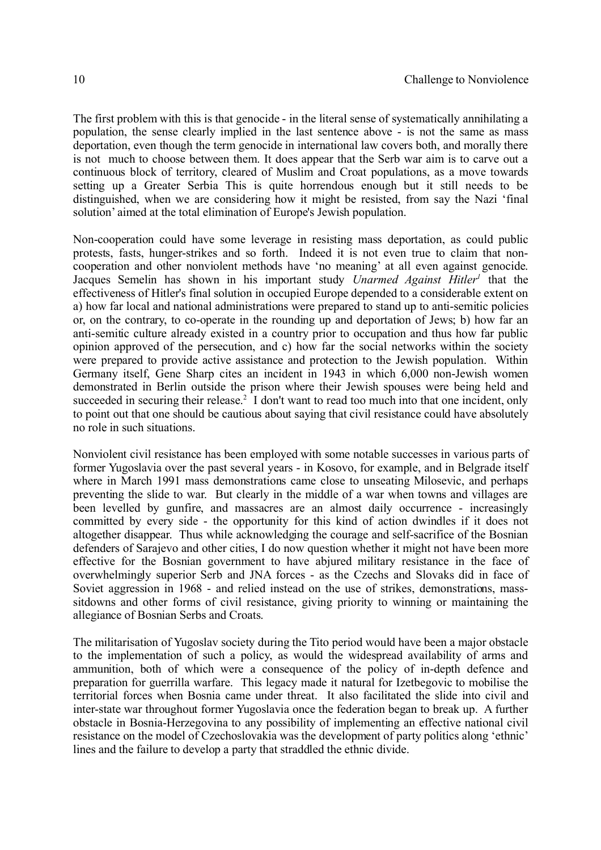The first problem with this is that genocide - in the literal sense of systematically annihilating a population, the sense clearly implied in the last sentence above - is not the same as mass deportation, even though the term genocide in international law covers both, and morally there is not much to choose between them. It does appear that the Serb war aim is to carve out a continuous block of territory, cleared of Muslim and Croat populations, as a move towards setting up a Greater Serbia This is quite horrendous enough but it still needs to be distinguished, when we are considering how it might be resisted, from say the Nazi 'final solution' aimed at the total elimination of Europe's Jewish population.

Non-cooperation could have some leverage in resisting mass deportation, as could public protests, fasts, hunger-strikes and so forth. Indeed it is not even true to claim that noncooperation and other nonviolent methods have 'no meaning' at all even against genocide. Jacques Semelin has shown in his important study *Unarmed Against Hitler[1](#page-28-0)* that the effectiveness of Hitler's final solution in occupied Europe depended to a considerable extent on a) how far local and national administrations were prepared to stand up to anti-semitic policies or, on the contrary, to co-operate in the rounding up and deportation of Jews; b) how far an anti-semitic culture already existed in a country prior to occupation and thus how far public opinion approved of the persecution, and c) how far the social networks within the society were prepared to provide active assistance and protection to the Jewish population. Within Germany itself, Gene Sharp cites an incident in 1943 in which 6,000 non-Jewish women demonstrated in Berlin outside the prison where their Jewish spouses were being held and succeeded in securing their release.<sup>[2](#page-28-1)</sup> I don't want to read too much into that one incident, only to point out that one should be cautious about saying that civil resistance could have absolutely no role in such situations.

Nonviolent civil resistance has been employed with some notable successes in various parts of former Yugoslavia over the past several years - in Kosovo, for example, and in Belgrade itself where in March 1991 mass demonstrations came close to unseating Milosevic, and perhaps preventing the slide to war. But clearly in the middle of a war when towns and villages are been levelled by gunfire, and massacres are an almost daily occurrence - increasingly committed by every side - the opportunity for this kind of action dwindles if it does not altogether disappear. Thus while acknowledging the courage and self-sacrifice of the Bosnian defenders of Sarajevo and other cities, I do now question whether it might not have been more effective for the Bosnian government to have abjured military resistance in the face of overwhelmingly superior Serb and JNA forces - as the Czechs and Slovaks did in face of Soviet aggression in 1968 - and relied instead on the use of strikes, demonstrations, masssitdowns and other forms of civil resistance, giving priority to winning or maintaining the allegiance of Bosnian Serbs and Croats.

The militarisation of Yugoslav society during the Tito period would have been a major obstacle to the implementation of such a policy, as would the widespread availability of arms and ammunition, both of which were a consequence of the policy of in-depth defence and preparation for guerrilla warfare. This legacy made it natural for Izetbegovic to mobilise the territorial forces when Bosnia came under threat. It also facilitated the slide into civil and inter-state war throughout former Yugoslavia once the federation began to break up. A further obstacle in Bosnia-Herzegovina to any possibility of implementing an effective national civil resistance on the model of Czechoslovakia was the development of party politics along 'ethnic' lines and the failure to develop a party that straddled the ethnic divide.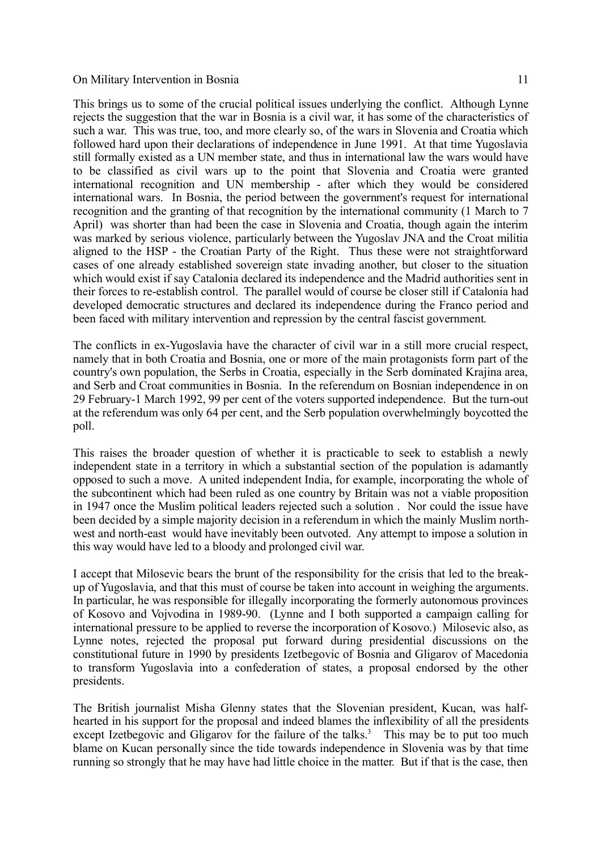This brings us to some of the crucial political issues underlying the conflict. Although Lynne rejects the suggestion that the war in Bosnia is a civil war, it has some of the characteristics of such a war. This was true, too, and more clearly so, of the wars in Slovenia and Croatia which followed hard upon their declarations of independence in June 1991. At that time Yugoslavia still formally existed as a UN member state, and thus in international law the wars would have to be classified as civil wars up to the point that Slovenia and Croatia were granted international recognition and UN membership - after which they would be considered international wars. In Bosnia, the period between the government's request for international recognition and the granting of that recognition by the international community (1 March to 7 April) was shorter than had been the case in Slovenia and Croatia, though again the interim was marked by serious violence, particularly between the Yugoslav JNA and the Croat militia aligned to the HSP - the Croatian Party of the Right. Thus these were not straightforward cases of one already established sovereign state invading another, but closer to the situation which would exist if say Catalonia declared its independence and the Madrid authorities sent in their forces to re-establish control. The parallel would of course be closer still if Catalonia had developed democratic structures and declared its independence during the Franco period and been faced with military intervention and repression by the central fascist government.

The conflicts in ex-Yugoslavia have the character of civil war in a still more crucial respect, namely that in both Croatia and Bosnia, one or more of the main protagonists form part of the country's own population, the Serbs in Croatia, especially in the Serb dominated Krajina area, and Serb and Croat communities in Bosnia. In the referendum on Bosnian independence in on 29 February-1 March 1992, 99 per cent of the voters supported independence. But the turn-out at the referendum was only 64 per cent, and the Serb population overwhelmingly boycotted the poll.

This raises the broader question of whether it is practicable to seek to establish a newly independent state in a territory in which a substantial section of the population is adamantly opposed to such a move. A united independent India, for example, incorporating the whole of the subcontinent which had been ruled as one country by Britain was not a viable proposition in 1947 once the Muslim political leaders rejected such a solution . Nor could the issue have been decided by a simple majority decision in a referendum in which the mainly Muslim northwest and north-east would have inevitably been outvoted. Any attempt to impose a solution in this way would have led to a bloody and prolonged civil war.

I accept that Milosevic bears the brunt of the responsibility for the crisis that led to the breakup of Yugoslavia, and that this must of course be taken into account in weighing the arguments. In particular, he was responsible for illegally incorporating the formerly autonomous provinces of Kosovo and Vojvodina in 1989-90. (Lynne and I both supported a campaign calling for international pressure to be applied to reverse the incorporation of Kosovo.) Milosevic also, as Lynne notes, rejected the proposal put forward during presidential discussions on the constitutional future in 1990 by presidents Izetbegovic of Bosnia and Gligarov of Macedonia to transform Yugoslavia into a confederation of states, a proposal endorsed by the other presidents.

The British journalist Misha Glenny states that the Slovenian president, Kucan, was halfhearted in his support for the proposal and indeed blames the inflexibility of all the presidents except Izetbegovic and Gligarov for the failure of the talks.<sup>[3](#page-28-2)</sup> This may be to put too much blame on Kucan personally since the tide towards independence in Slovenia was by that time running so strongly that he may have had little choice in the matter. But if that is the case, then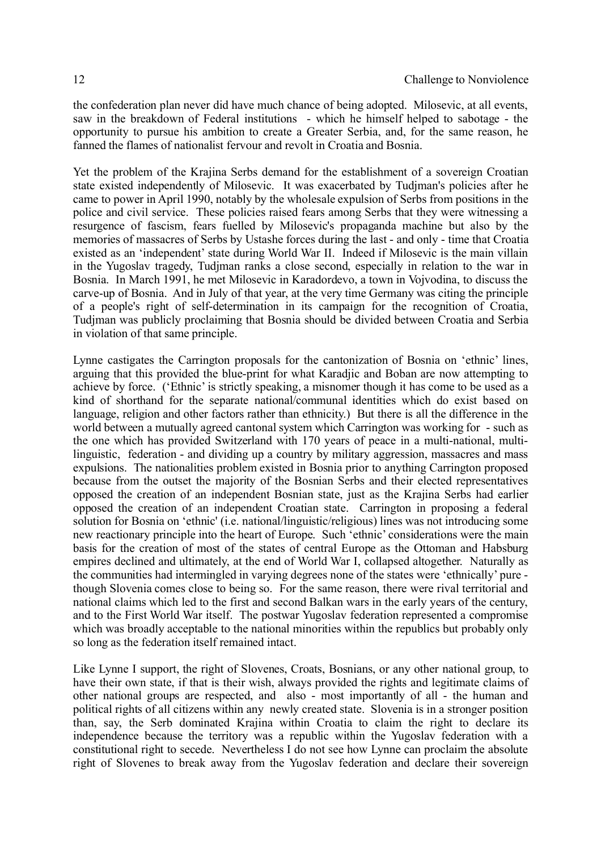the confederation plan never did have much chance of being adopted. Milosevic, at all events, saw in the breakdown of Federal institutions - which he himself helped to sabotage - the opportunity to pursue his ambition to create a Greater Serbia, and, for the same reason, he fanned the flames of nationalist fervour and revolt in Croatia and Bosnia.

Yet the problem of the Krajina Serbs demand for the establishment of a sovereign Croatian state existed independently of Milosevic. It was exacerbated by Tudjman's policies after he came to power in April 1990, notably by the wholesale expulsion of Serbs from positions in the police and civil service. These policies raised fears among Serbs that they were witnessing a resurgence of fascism, fears fuelled by Milosevic's propaganda machine but also by the memories of massacres of Serbs by Ustashe forces during the last - and only - time that Croatia existed as an 'independent' state during World War II. Indeed if Milosevic is the main villain in the Yugoslav tragedy, Tudjman ranks a close second, especially in relation to the war in Bosnia. In March 1991, he met Milosevic in Karadordevo, a town in Vojvodina, to discuss the carve-up of Bosnia. And in July of that year, at the very time Germany was citing the principle of a people's right of self-determination in its campaign for the recognition of Croatia, Tudjman was publicly proclaiming that Bosnia should be divided between Croatia and Serbia in violation of that same principle.

Lynne castigates the Carrington proposals for the cantonization of Bosnia on 'ethnic' lines, arguing that this provided the blue-print for what Karadjic and Boban are now attempting to achieve by force. ('Ethnic' is strictly speaking, a misnomer though it has come to be used as a kind of shorthand for the separate national/communal identities which do exist based on language, religion and other factors rather than ethnicity.) But there is all the difference in the world between a mutually agreed cantonal system which Carrington was working for - such as the one which has provided Switzerland with 170 years of peace in a multi-national, multilinguistic, federation - and dividing up a country by military aggression, massacres and mass expulsions. The nationalities problem existed in Bosnia prior to anything Carrington proposed because from the outset the majority of the Bosnian Serbs and their elected representatives opposed the creation of an independent Bosnian state, just as the Krajina Serbs had earlier opposed the creation of an independent Croatian state. Carrington in proposing a federal solution for Bosnia on 'ethnic' (i.e. national/linguistic/religious) lines was not introducing some new reactionary principle into the heart of Europe. Such 'ethnic' considerations were the main basis for the creation of most of the states of central Europe as the Ottoman and Habsburg empires declined and ultimately, at the end of World War I, collapsed altogether. Naturally as the communities had intermingled in varying degrees none of the states were 'ethnically' pure though Slovenia comes close to being so. For the same reason, there were rival territorial and national claims which led to the first and second Balkan wars in the early years of the century, and to the First World War itself. The postwar Yugoslav federation represented a compromise which was broadly acceptable to the national minorities within the republics but probably only so long as the federation itself remained intact.

Like Lynne I support, the right of Slovenes, Croats, Bosnians, or any other national group, to have their own state, if that is their wish, always provided the rights and legitimate claims of other national groups are respected, and also - most importantly of all - the human and political rights of all citizens within any newly created state. Slovenia is in a stronger position than, say, the Serb dominated Krajina within Croatia to claim the right to declare its independence because the territory was a republic within the Yugoslav federation with a constitutional right to secede. Nevertheless I do not see how Lynne can proclaim the absolute right of Slovenes to break away from the Yugoslav federation and declare their sovereign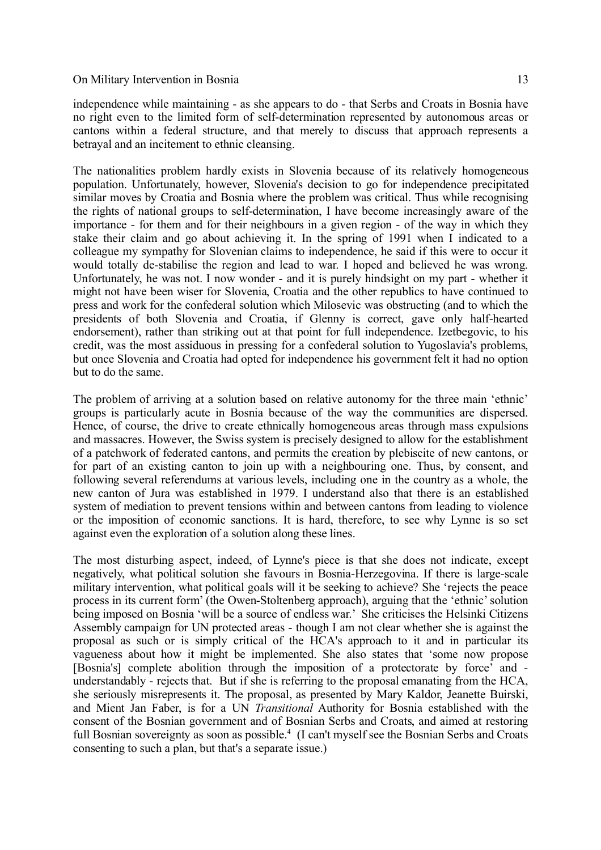independence while maintaining - as she appears to do - that Serbs and Croats in Bosnia have no right even to the limited form of self-determination represented by autonomous areas or cantons within a federal structure, and that merely to discuss that approach represents a betrayal and an incitement to ethnic cleansing.

The nationalities problem hardly exists in Slovenia because of its relatively homogeneous population. Unfortunately, however, Slovenia's decision to go for independence precipitated similar moves by Croatia and Bosnia where the problem was critical. Thus while recognising the rights of national groups to self-determination, I have become increasingly aware of the importance - for them and for their neighbours in a given region - of the way in which they stake their claim and go about achieving it. In the spring of 1991 when I indicated to a colleague my sympathy for Slovenian claims to independence, he said if this were to occur it would totally de-stabilise the region and lead to war. I hoped and believed he was wrong. Unfortunately, he was not. I now wonder - and it is purely hindsight on my part - whether it might not have been wiser for Slovenia, Croatia and the other republics to have continued to press and work for the confederal solution which Milosevic was obstructing (and to which the presidents of both Slovenia and Croatia, if Glenny is correct, gave only half-hearted endorsement), rather than striking out at that point for full independence. Izetbegovic, to his credit, was the most assiduous in pressing for a confederal solution to Yugoslavia's problems, but once Slovenia and Croatia had opted for independence his government felt it had no option but to do the same.

The problem of arriving at a solution based on relative autonomy for the three main 'ethnic' groups is particularly acute in Bosnia because of the way the communities are dispersed. Hence, of course, the drive to create ethnically homogeneous areas through mass expulsions and massacres. However, the Swiss system is precisely designed to allow for the establishment of a patchwork of federated cantons, and permits the creation by plebiscite of new cantons, or for part of an existing canton to join up with a neighbouring one. Thus, by consent, and following several referendums at various levels, including one in the country as a whole, the new canton of Jura was established in 1979. I understand also that there is an established system of mediation to prevent tensions within and between cantons from leading to violence or the imposition of economic sanctions. It is hard, therefore, to see why Lynne is so set against even the exploration of a solution along these lines.

The most disturbing aspect, indeed, of Lynne's piece is that she does not indicate, except negatively, what political solution she favours in Bosnia-Herzegovina. If there is large-scale military intervention, what political goals will it be seeking to achieve? She 'rejects the peace process in its current form' (the Owen-Stoltenberg approach), arguing that the 'ethnic'solution being imposed on Bosnia 'will be a source of endless war.' She criticises the Helsinki Citizens Assembly campaign for UN protected areas - though I am not clear whether she is against the proposal as such or is simply critical of the HCA's approach to it and in particular its vagueness about how it might be implemented. She also states that 'some now propose [Bosnia's] complete abolition through the imposition of a protectorate by force' and understandably - rejects that. But if she is referring to the proposal emanating from the HCA, she seriously misrepresents it. The proposal, as presented by Mary Kaldor, Jeanette Buirski, and Mient Jan Faber, is for a UN *Transitional* Authority for Bosnia established with the consent of the Bosnian government and of Bosnian Serbs and Croats, and aimed at restoring full Bosnian sovereignty as soon as possible.<sup>[4](#page-28-3)</sup> (I can't myself see the Bosnian Serbs and Croats consenting to such a plan, but that's a separate issue.)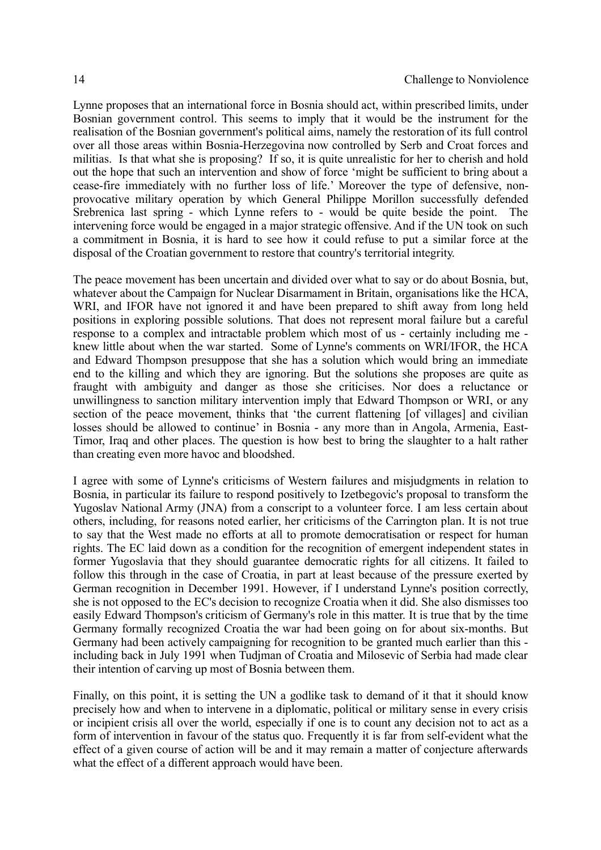Lynne proposes that an international force in Bosnia should act, within prescribed limits, under Bosnian government control. This seems to imply that it would be the instrument for the realisation of the Bosnian government's political aims, namely the restoration of its full control over all those areas within Bosnia-Herzegovina now controlled by Serb and Croat forces and militias. Is that what she is proposing? If so, it is quite unrealistic for her to cherish and hold out the hope that such an intervention and show of force 'might be sufficient to bring about a cease-fire immediately with no further loss of life.' Moreover the type of defensive, nonprovocative military operation by which General Philippe Morillon successfully defended Srebrenica last spring - which Lynne refers to - would be quite beside the point. The intervening force would be engaged in a major strategic offensive. And if the UN took on such a commitment in Bosnia, it is hard to see how it could refuse to put a similar force at the disposal of the Croatian government to restore that country's territorial integrity.

The peace movement has been uncertain and divided over what to say or do about Bosnia, but, whatever about the Campaign for Nuclear Disarmament in Britain, organisations like the HCA, WRI, and IFOR have not ignored it and have been prepared to shift away from long held positions in exploring possible solutions. That does not represent moral failure but a careful response to a complex and intractable problem which most of us - certainly including me knew little about when the war started. Some of Lynne's comments on WRI/IFOR, the HCA and Edward Thompson presuppose that she has a solution which would bring an immediate end to the killing and which they are ignoring. But the solutions she proposes are quite as fraught with ambiguity and danger as those she criticises. Nor does a reluctance or unwillingness to sanction military intervention imply that Edward Thompson or WRI, or any section of the peace movement, thinks that 'the current flattening [of villages] and civilian losses should be allowed to continue' in Bosnia - any more than in Angola, Armenia, East-Timor, Iraq and other places. The question is how best to bring the slaughter to a halt rather than creating even more havoc and bloodshed.

I agree with some of Lynne's criticisms of Western failures and misjudgments in relation to Bosnia, in particular its failure to respond positively to Izetbegovic's proposal to transform the Yugoslav National Army (JNA) from a conscript to a volunteer force. I am less certain about others, including, for reasons noted earlier, her criticisms of the Carrington plan. It is not true to say that the West made no efforts at all to promote democratisation or respect for human rights. The EC laid down as a condition for the recognition of emergent independent states in former Yugoslavia that they should guarantee democratic rights for all citizens. It failed to follow this through in the case of Croatia, in part at least because of the pressure exerted by German recognition in December 1991. However, if I understand Lynne's position correctly, she is not opposed to the EC's decision to recognize Croatia when it did. She also dismisses too easily Edward Thompson's criticism of Germany's role in this matter. It is true that by the time Germany formally recognized Croatia the war had been going on for about six-months. But Germany had been actively campaigning for recognition to be granted much earlier than this including back in July 1991 when Tudjman of Croatia and Milosevic of Serbia had made clear their intention of carving up most of Bosnia between them.

Finally, on this point, it is setting the UN a godlike task to demand of it that it should know precisely how and when to intervene in a diplomatic, political or military sense in every crisis or incipient crisis all over the world, especially if one is to count any decision not to act as a form of intervention in favour of the status quo. Frequently it is far from self-evident what the effect of a given course of action will be and it may remain a matter of conjecture afterwards what the effect of a different approach would have been.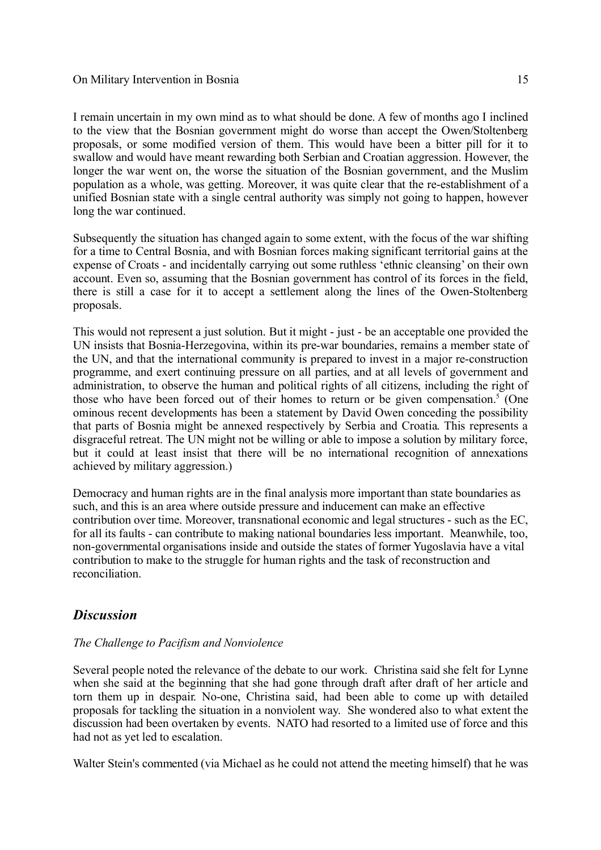I remain uncertain in my own mind as to what should be done. A few of months ago I inclined to the view that the Bosnian government might do worse than accept the Owen/Stoltenberg proposals, or some modified version of them. This would have been a bitter pill for it to swallow and would have meant rewarding both Serbian and Croatian aggression. However, the longer the war went on, the worse the situation of the Bosnian government, and the Muslim population as a whole, was getting. Moreover, it was quite clear that the re-establishment of a unified Bosnian state with a single central authority was simply not going to happen, however long the war continued.

Subsequently the situation has changed again to some extent, with the focus of the war shifting for a time to Central Bosnia, and with Bosnian forces making significant territorial gains at the expense of Croats - and incidentally carrying out some ruthless 'ethnic cleansing' on their own account. Even so, assuming that the Bosnian government has control of its forces in the field, there is still a case for it to accept a settlement along the lines of the Owen-Stoltenberg proposals.

This would not represent a just solution. But it might - just - be an acceptable one provided the UN insists that Bosnia-Herzegovina, within its pre-war boundaries, remains a member state of the UN, and that the international community is prepared to invest in a major re-construction programme, and exert continuing pressure on all parties, and at all levels of government and administration, to observe the human and political rights of all citizens, including the right of those who have been forced out of their homes to return or be given compensation.<sup>[5](#page-28-4)</sup> (One ominous recent developments has been a statement by David Owen conceding the possibility that parts of Bosnia might be annexed respectively by Serbia and Croatia. This represents a disgraceful retreat. The UN might not be willing or able to impose a solution by military force, but it could at least insist that there will be no international recognition of annexations achieved by military aggression.)

Democracy and human rights are in the final analysis more important than state boundaries as such, and this is an area where outside pressure and inducement can make an effective contribution over time. Moreover, transnational economic and legal structures - such as the EC, for all its faults - can contribute to making national boundaries less important. Meanwhile, too, non-governmental organisations inside and outside the states of former Yugoslavia have a vital contribution to make to the struggle for human rights and the task of reconstruction and reconciliation.

# *Discussion*

# *The Challenge to Pacifism and Nonviolence*

Several people noted the relevance of the debate to our work. Christina said she felt for Lynne when she said at the beginning that she had gone through draft after draft of her article and torn them up in despair. No-one, Christina said, had been able to come up with detailed proposals for tackling the situation in a nonviolent way. She wondered also to what extent the discussion had been overtaken by events. NATO had resorted to a limited use of force and this had not as yet led to escalation.

Walter Stein's commented (via Michael as he could not attend the meeting himself) that he was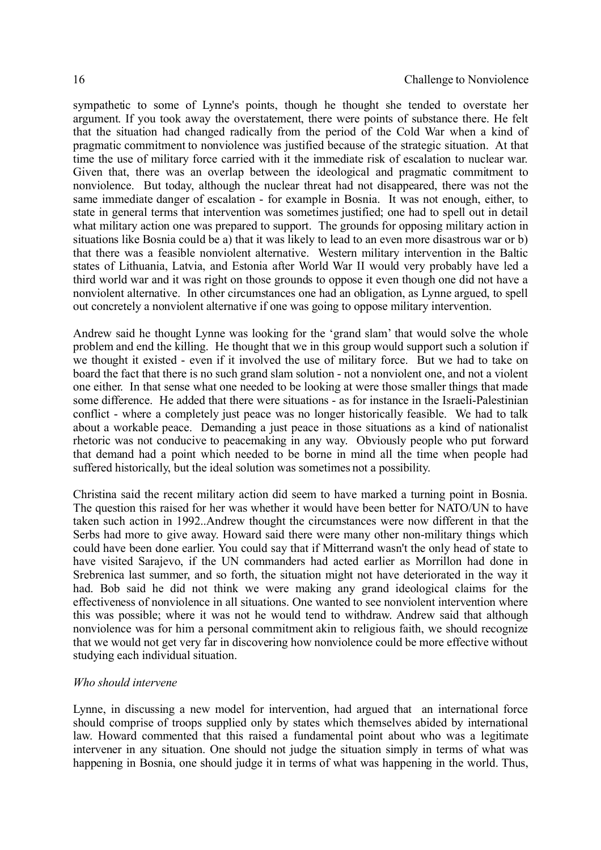sympathetic to some of Lynne's points, though he thought she tended to overstate her argument. If you took away the overstatement, there were points of substance there. He felt that the situation had changed radically from the period of the Cold War when a kind of pragmatic commitment to nonviolence was justified because of the strategic situation. At that time the use of military force carried with it the immediate risk of escalation to nuclear war. Given that, there was an overlap between the ideological and pragmatic commitment to nonviolence. But today, although the nuclear threat had not disappeared, there was not the same immediate danger of escalation - for example in Bosnia. It was not enough, either, to state in general terms that intervention was sometimes justified; one had to spell out in detail what military action one was prepared to support. The grounds for opposing military action in situations like Bosnia could be a) that it was likely to lead to an even more disastrous war or b) that there was a feasible nonviolent alternative. Western military intervention in the Baltic states of Lithuania, Latvia, and Estonia after World War II would very probably have led a third world war and it was right on those grounds to oppose it even though one did not have a nonviolent alternative. In other circumstances one had an obligation, as Lynne argued, to spell out concretely a nonviolent alternative if one was going to oppose military intervention.

Andrew said he thought Lynne was looking for the 'grand slam' that would solve the whole problem and end the killing. He thought that we in this group would support such a solution if we thought it existed - even if it involved the use of military force. But we had to take on board the fact that there is no such grand slam solution - not a nonviolent one, and not a violent one either. In that sense what one needed to be looking at were those smaller things that made some difference. He added that there were situations - as for instance in the Israeli-Palestinian conflict - where a completely just peace was no longer historically feasible. We had to talk about a workable peace. Demanding a just peace in those situations as a kind of nationalist rhetoric was not conducive to peacemaking in any way. Obviously people who put forward that demand had a point which needed to be borne in mind all the time when people had suffered historically, but the ideal solution was sometimes not a possibility.

Christina said the recent military action did seem to have marked a turning point in Bosnia. The question this raised for her was whether it would have been better for NATO/UN to have taken such action in 1992..Andrew thought the circumstances were now different in that the Serbs had more to give away. Howard said there were many other non-military things which could have been done earlier. You could say that if Mitterrand wasn't the only head of state to have visited Sarajevo, if the UN commanders had acted earlier as Morrillon had done in Srebrenica last summer, and so forth, the situation might not have deteriorated in the way it had. Bob said he did not think we were making any grand ideological claims for the effectiveness of nonviolence in all situations. One wanted to see nonviolent intervention where this was possible; where it was not he would tend to withdraw. Andrew said that although nonviolence was for him a personal commitment akin to religious faith, we should recognize that we would not get very far in discovering how nonviolence could be more effective without studying each individual situation.

### *Who should intervene*

Lynne, in discussing a new model for intervention, had argued that an international force should comprise of troops supplied only by states which themselves abided by international law. Howard commented that this raised a fundamental point about who was a legitimate intervener in any situation. One should not judge the situation simply in terms of what was happening in Bosnia, one should judge it in terms of what was happening in the world. Thus,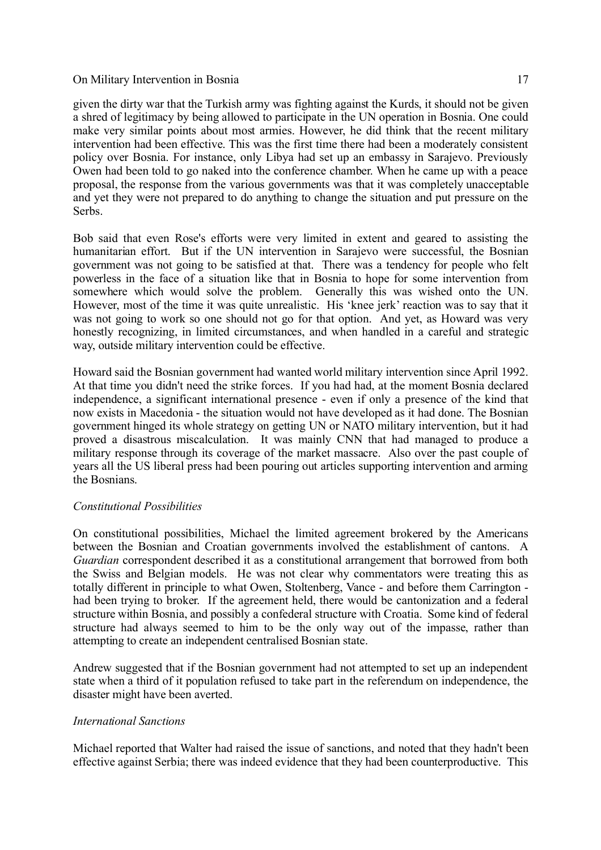given the dirty war that the Turkish army was fighting against the Kurds, it should not be given a shred of legitimacy by being allowed to participate in the UN operation in Bosnia. One could make very similar points about most armies. However, he did think that the recent military intervention had been effective. This was the first time there had been a moderately consistent policy over Bosnia. For instance, only Libya had set up an embassy in Sarajevo. Previously Owen had been told to go naked into the conference chamber. When he came up with a peace proposal, the response from the various governments was that it was completely unacceptable and yet they were not prepared to do anything to change the situation and put pressure on the Serbs.

Bob said that even Rose's efforts were very limited in extent and geared to assisting the humanitarian effort. But if the UN intervention in Sarajevo were successful, the Bosnian government was not going to be satisfied at that. There was a tendency for people who felt powerless in the face of a situation like that in Bosnia to hope for some intervention from somewhere which would solve the problem. Generally this was wished onto the UN. However, most of the time it was quite unrealistic. His 'knee jerk' reaction was to say that it was not going to work so one should not go for that option. And yet, as Howard was very honestly recognizing, in limited circumstances, and when handled in a careful and strategic way, outside military intervention could be effective.

Howard said the Bosnian government had wanted world military intervention since April 1992. At that time you didn't need the strike forces. If you had had, at the moment Bosnia declared independence, a significant international presence - even if only a presence of the kind that now exists in Macedonia - the situation would not have developed as it had done. The Bosnian government hinged its whole strategy on getting UN or NATO military intervention, but it had proved a disastrous miscalculation. It was mainly CNN that had managed to produce a military response through its coverage of the market massacre. Also over the past couple of years all the US liberal press had been pouring out articles supporting intervention and arming the Bosnians.

# *Constitutional Possibilities*

On constitutional possibilities, Michael the limited agreement brokered by the Americans between the Bosnian and Croatian governments involved the establishment of cantons. A *Guardian* correspondent described it as a constitutional arrangement that borrowed from both the Swiss and Belgian models. He was not clear why commentators were treating this as totally different in principle to what Owen, Stoltenberg, Vance - and before them Carrington had been trying to broker. If the agreement held, there would be cantonization and a federal structure within Bosnia, and possibly a confederal structure with Croatia. Some kind of federal structure had always seemed to him to be the only way out of the impasse, rather than attempting to create an independent centralised Bosnian state.

Andrew suggested that if the Bosnian government had not attempted to set up an independent state when a third of it population refused to take part in the referendum on independence, the disaster might have been averted.

# *International Sanctions*

Michael reported that Walter had raised the issue of sanctions, and noted that they hadn't been effective against Serbia; there was indeed evidence that they had been counterproductive. This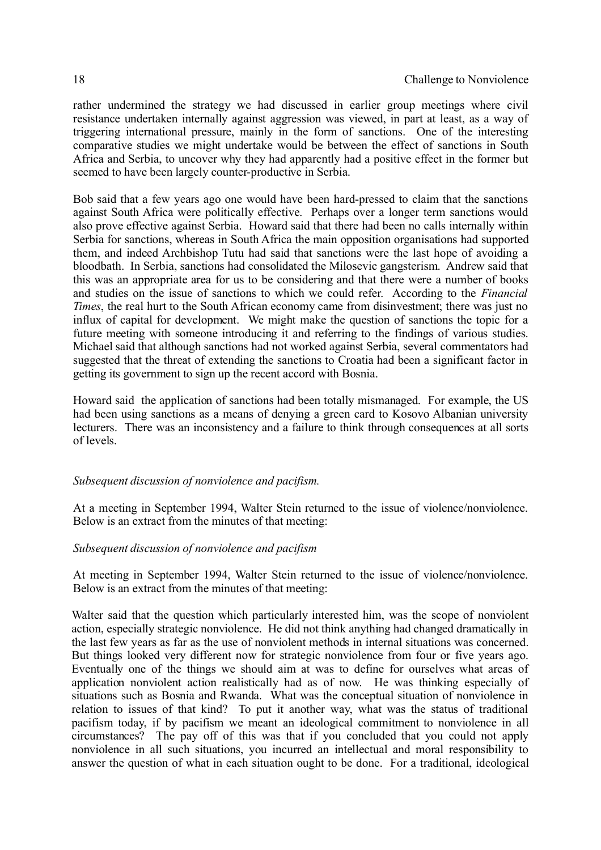rather undermined the strategy we had discussed in earlier group meetings where civil resistance undertaken internally against aggression was viewed, in part at least, as a way of triggering international pressure, mainly in the form of sanctions. One of the interesting comparative studies we might undertake would be between the effect of sanctions in South Africa and Serbia, to uncover why they had apparently had a positive effect in the former but seemed to have been largely counter-productive in Serbia.

Bob said that a few years ago one would have been hard-pressed to claim that the sanctions against South Africa were politically effective. Perhaps over a longer term sanctions would also prove effective against Serbia. Howard said that there had been no calls internally within Serbia for sanctions, whereas in South Africa the main opposition organisations had supported them, and indeed Archbishop Tutu had said that sanctions were the last hope of avoiding a bloodbath. In Serbia, sanctions had consolidated the Milosevic gangsterism. Andrew said that this was an appropriate area for us to be considering and that there were a number of books and studies on the issue of sanctions to which we could refer. According to the *Financial Times*, the real hurt to the South African economy came from disinvestment; there was just no influx of capital for development. We might make the question of sanctions the topic for a future meeting with someone introducing it and referring to the findings of various studies. Michael said that although sanctions had not worked against Serbia, several commentators had suggested that the threat of extending the sanctions to Croatia had been a significant factor in getting its government to sign up the recent accord with Bosnia.

Howard said the application of sanctions had been totally mismanaged. For example, the US had been using sanctions as a means of denying a green card to Kosovo Albanian university lecturers. There was an inconsistency and a failure to think through consequences at all sorts of levels.

# *Subsequent discussion of nonviolence and pacifism.*

At a meeting in September 1994, Walter Stein returned to the issue of violence/nonviolence. Below is an extract from the minutes of that meeting:

# *Subsequent discussion of nonviolence and pacifism*

At meeting in September 1994, Walter Stein returned to the issue of violence/nonviolence. Below is an extract from the minutes of that meeting:

Walter said that the question which particularly interested him, was the scope of nonviolent action, especially strategic nonviolence. He did not think anything had changed dramatically in the last few years as far as the use of nonviolent methods in internal situations was concerned. But things looked very different now for strategic nonviolence from four or five years ago. Eventually one of the things we should aim at was to define for ourselves what areas of application nonviolent action realistically had as of now. He was thinking especially of situations such as Bosnia and Rwanda. What was the conceptual situation of nonviolence in relation to issues of that kind? To put it another way, what was the status of traditional pacifism today, if by pacifism we meant an ideological commitment to nonviolence in all circumstances? The pay off of this was that if you concluded that you could not apply nonviolence in all such situations, you incurred an intellectual and moral responsibility to answer the question of what in each situation ought to be done. For a traditional, ideological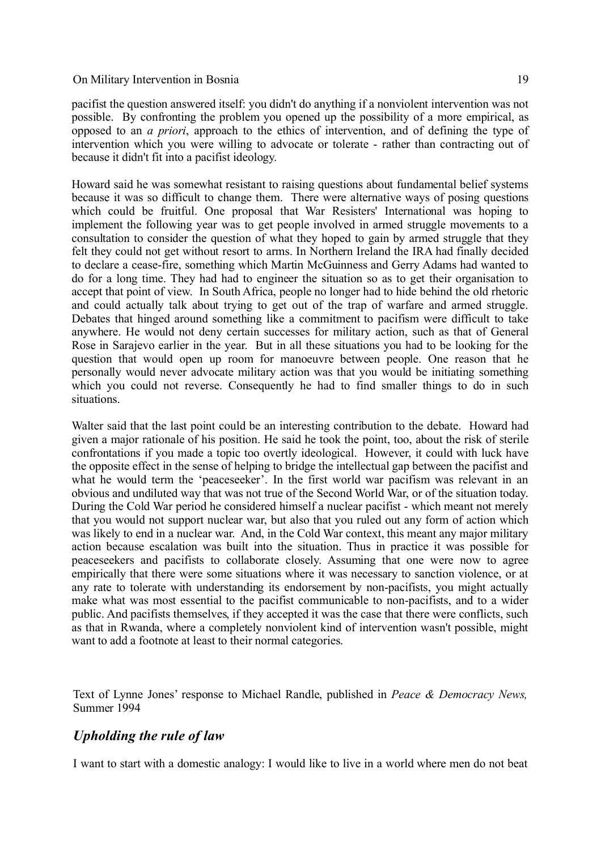pacifist the question answered itself: you didn't do anything if a nonviolent intervention was not possible. By confronting the problem you opened up the possibility of a more empirical, as opposed to an *a priori*, approach to the ethics of intervention, and of defining the type of intervention which you were willing to advocate or tolerate - rather than contracting out of because it didn't fit into a pacifist ideology.

Howard said he was somewhat resistant to raising questions about fundamental belief systems because it was so difficult to change them. There were alternative ways of posing questions which could be fruitful. One proposal that War Resisters' International was hoping to implement the following year was to get people involved in armed struggle movements to a consultation to consider the question of what they hoped to gain by armed struggle that they felt they could not get without resort to arms. In Northern Ireland the IRA had finally decided to declare a cease-fire, something which Martin McGuinness and Gerry Adams had wanted to do for a long time. They had had to engineer the situation so as to get their organisation to accept that point of view. In South Africa, people no longer had to hide behind the old rhetoric and could actually talk about trying to get out of the trap of warfare and armed struggle. Debates that hinged around something like a commitment to pacifism were difficult to take anywhere. He would not deny certain successes for military action, such as that of General Rose in Sarajevo earlier in the year. But in all these situations you had to be looking for the question that would open up room for manoeuvre between people. One reason that he personally would never advocate military action was that you would be initiating something which you could not reverse. Consequently he had to find smaller things to do in such situations.

Walter said that the last point could be an interesting contribution to the debate. Howard had given a major rationale of his position. He said he took the point, too, about the risk of sterile confrontations if you made a topic too overtly ideological. However, it could with luck have the opposite effect in the sense of helping to bridge the intellectual gap between the pacifist and what he would term the 'peaceseeker'. In the first world war pacifism was relevant in an obvious and undiluted way that was not true of the Second World War, or of the situation today. During the Cold War period he considered himself a nuclear pacifist - which meant not merely that you would not support nuclear war, but also that you ruled out any form of action which was likely to end in a nuclear war. And, in the Cold War context, this meant any major military action because escalation was built into the situation. Thus in practice it was possible for peaceseekers and pacifists to collaborate closely. Assuming that one were now to agree empirically that there were some situations where it was necessary to sanction violence, or at any rate to tolerate with understanding its endorsement by non-pacifists, you might actually make what was most essential to the pacifist communicable to non-pacifists, and to a wider public. And pacifists themselves, if they accepted it was the case that there were conflicts, such as that in Rwanda, where a completely nonviolent kind of intervention wasn't possible, might want to add a footnote at least to their normal categories.

Text of Lynne Jones' response to Michael Randle, published in *Peace & Democracy News,* Summer 1994

# *Upholding the rule of law*

I want to start with a domestic analogy: I would like to live in a world where men do not beat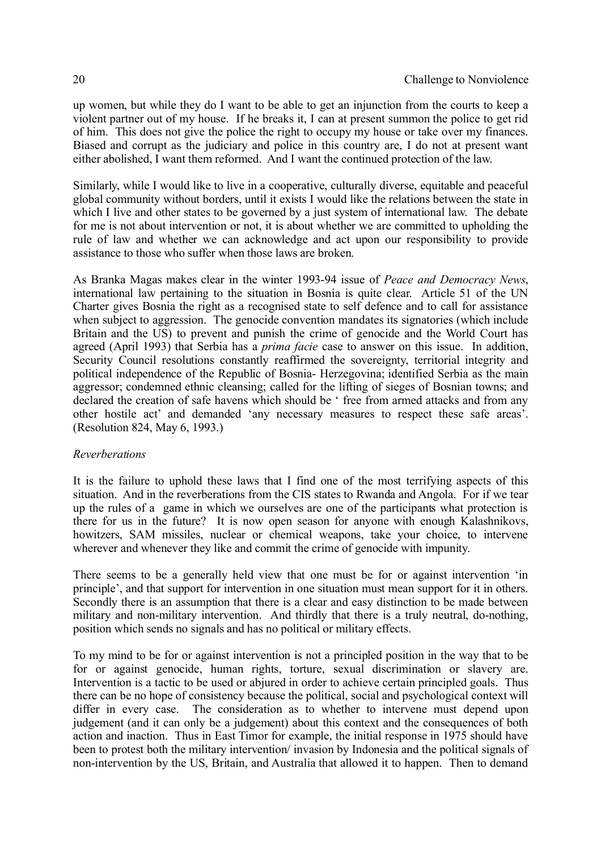up women, but while they do I want to be able to get an injunction from the courts to keep a violent partner out of my house. If he breaks it, I can at present summon the police to get rid of him. This does not give the police the right to occupy my house or take over my finances. Biased and corrupt as the judiciary and police in this country are, I do not at present want either abolished, I want them reformed. And I want the continued protection of the law.

Similarly, while I would like to live in a cooperative, culturally diverse, equitable and peaceful global community without borders, until it exists I would like the relations between the state in which I live and other states to be governed by a just system of international law. The debate for me is not about intervention or not, it is about whether we are committed to upholding the rule of law and whether we can acknowledge and act upon our responsibility to provide assistance to those who suffer when those laws are broken.

As Branka Magas makes clear in the winter 1993-94 issue of *Peace and Democracy News*, international law pertaining to the situation in Bosnia is quite clear. Article 51 of the UN Charter gives Bosnia the right as a recognised state to self defence and to call for assistance when subject to aggression. The genocide convention mandates its signatories (which include Britain and the US) to prevent and punish the crime of genocide and the World Court has agreed (April 1993) that Serbia has a *prima facie* case to answer on this issue. In addition, Security Council resolutions constantly reaffirmed the sovereignty, territorial integrity and political independence of the Republic of Bosnia- Herzegovina; identified Serbia as the main aggressor; condemned ethnic cleansing; called for the lifting of sieges of Bosnian towns; and declared the creation of safe havens which should be ' free from armed attacks and from any other hostile act' and demanded 'any necessary measures to respect these safe areas'. (Resolution 824, May 6, 1993.)

# *Reverberations*

It is the failure to uphold these laws that I find one of the most terrifying aspects of this situation. And in the reverberations from the CIS states to Rwanda and Angola. For if we tear up the rules of a game in which we ourselves are one of the participants what protection is there for us in the future? It is now open season for anyone with enough Kalashnikovs, howitzers, SAM missiles, nuclear or chemical weapons, take your choice, to intervene wherever and whenever they like and commit the crime of genocide with impunity.

There seems to be a generally held view that one must be for or against intervention 'in principle', and that support for intervention in one situation must mean support for it in others. Secondly there is an assumption that there is a clear and easy distinction to be made between military and non-military intervention. And thirdly that there is a truly neutral, do-nothing, position which sends no signals and has no political or military effects.

To my mind to be for or against intervention is not a principled position in the way that to be for or against genocide, human rights, torture, sexual discrimination or slavery are. Intervention is a tactic to be used or abjured in order to achieve certain principled goals. Thus there can be no hope of consistency because the political, social and psychological context will differ in every case. The consideration as to whether to intervene must depend upon judgement (and it can only be a judgement) about this context and the consequences of both action and inaction. Thus in East Timor for example, the initial response in 1975 should have been to protest both the military intervention/ invasion by Indonesia and the political signals of non-intervention by the US, Britain, and Australia that allowed it to happen. Then to demand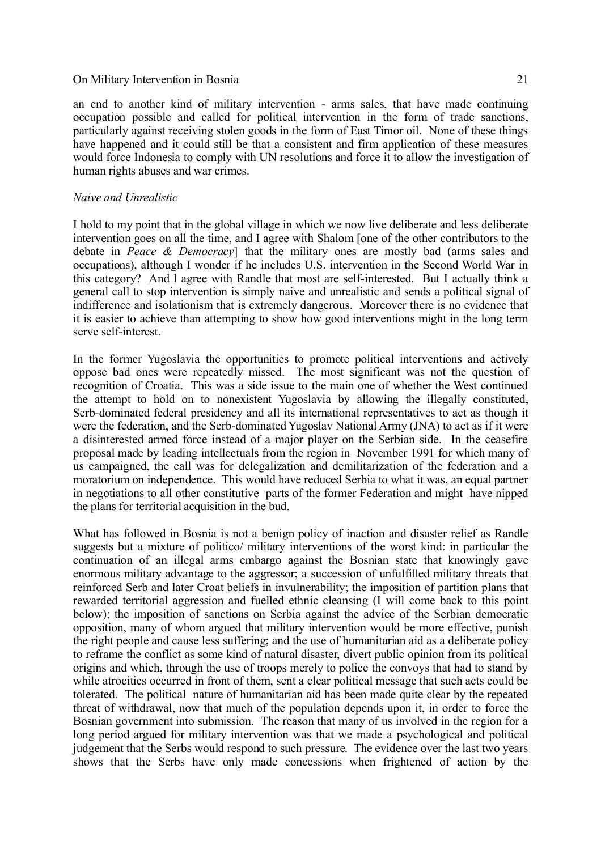an end to another kind of military intervention - arms sales, that have made continuing occupation possible and called for political intervention in the form of trade sanctions, particularly against receiving stolen goods in the form of East Timor oil. None of these things have happened and it could still be that a consistent and firm application of these measures would force Indonesia to comply with UN resolutions and force it to allow the investigation of human rights abuses and war crimes.

### *Naive and Unrealistic*

I hold to my point that in the global village in which we now live deliberate and less deliberate intervention goes on all the time, and I agree with Shalom [one of the other contributors to the debate in *Peace & Democracy*] that the military ones are mostly bad (arms sales and occupations), although I wonder if he includes U.S. intervention in the Second World War in this category? And l agree with Randle that most are self-interested. But I actually think a general call to stop intervention is simply naive and unrealistic and sends a political signal of indifference and isolationism that is extremely dangerous. Moreover there is no evidence that it is easier to achieve than attempting to show how good interventions might in the long term serve self-interest.

In the former Yugoslavia the opportunities to promote political interventions and actively oppose bad ones were repeatedly missed. The most significant was not the question of recognition of Croatia. This was a side issue to the main one of whether the West continued the attempt to hold on to nonexistent Yugoslavia by allowing the illegally constituted, Serb-dominated federal presidency and all its international representatives to act as though it were the federation, and the Serb-dominated Yugoslav National Army (JNA) to act as if it were a disinterested armed force instead of a major player on the Serbian side. In the ceasefire proposal made by leading intellectuals from the region in November 1991 for which many of us campaigned, the call was for delegalization and demilitarization of the federation and a moratorium on independence. This would have reduced Serbia to what it was, an equal partner in negotiations to all other constitutive parts of the former Federation and might have nipped the plans for territorial acquisition in the bud.

What has followed in Bosnia is not a benign policy of inaction and disaster relief as Randle suggests but a mixture of politico/ military interventions of the worst kind: in particular the continuation of an illegal arms embargo against the Bosnian state that knowingly gave enormous military advantage to the aggressor; a succession of unfulfilled military threats that reinforced Serb and later Croat beliefs in invulnerability; the imposition of partition plans that rewarded territorial aggression and fuelled ethnic cleansing (I will come back to this point below); the imposition of sanctions on Serbia against the advice of the Serbian democratic opposition, many of whom argued that military intervention would be more effective, punish the right people and cause less suffering; and the use of humanitarian aid as a deliberate policy to reframe the conflict as some kind of natural disaster, divert public opinion from its political origins and which, through the use of troops merely to police the convoys that had to stand by while atrocities occurred in front of them, sent a clear political message that such acts could be tolerated. The political nature of humanitarian aid has been made quite clear by the repeated threat of withdrawal, now that much of the population depends upon it, in order to force the Bosnian government into submission. The reason that many of us involved in the region for a long period argued for military intervention was that we made a psychological and political judgement that the Serbs would respond to such pressure. The evidence over the last two years shows that the Serbs have only made concessions when frightened of action by the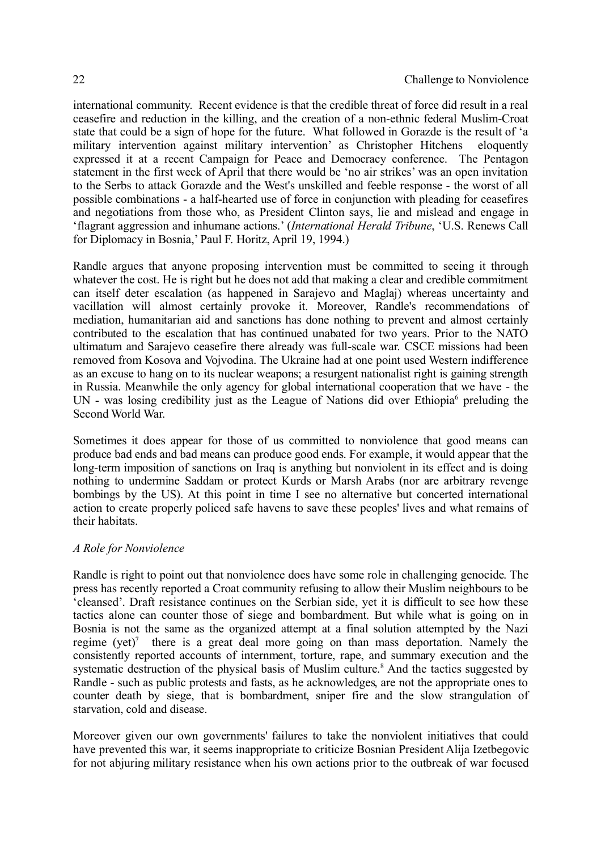international community. Recent evidence is that the credible threat of force did result in a real ceasefire and reduction in the killing, and the creation of a non-ethnic federal Muslim-Croat state that could be a sign of hope for the future. What followed in Gorazde is the result of 'a military intervention against military intervention' as Christopher Hitchens eloquently expressed it at a recent Campaign for Peace and Democracy conference. The Pentagon statement in the first week of April that there would be 'no air strikes' was an open invitation to the Serbs to attack Gorazde and the West's unskilled and feeble response - the worst of all possible combinations - a half-hearted use of force in conjunction with pleading for ceasefires and negotiations from those who, as President Clinton says, lie and mislead and engage in 'flagrant aggression and inhumane actions.' (*International Herald Tribune*, 'U.S. Renews Call for Diplomacy in Bosnia,' Paul F. Horitz, April 19, 1994.)

Randle argues that anyone proposing intervention must be committed to seeing it through whatever the cost. He is right but he does not add that making a clear and credible commitment can itself deter escalation (as happened in Sarajevo and Maglaj) whereas uncertainty and vacillation will almost certainly provoke it. Moreover, Randle's recommendations of mediation, humanitarian aid and sanctions has done nothing to prevent and almost certainly contributed to the escalation that has continued unabated for two years. Prior to the NATO ultimatum and Sarajevo ceasefire there already was full-scale war. CSCE missions had been removed from Kosova and Vojvodina. The Ukraine had at one point used Western indifference as an excuse to hang on to its nuclear weapons; a resurgent nationalist right is gaining strength in Russia. Meanwhile the only agency for global international cooperation that we have - the UN - was losing credibility just as the League of Nations did over Ethiopia<sup>[6](#page-28-5)</sup> preluding the Second World War.

Sometimes it does appear for those of us committed to nonviolence that good means can produce bad ends and bad means can produce good ends. For example, it would appear that the long-term imposition of sanctions on Iraq is anything but nonviolent in its effect and is doing nothing to undermine Saddam or protect Kurds or Marsh Arabs (nor are arbitrary revenge bombings by the US). At this point in time I see no alternative but concerted international action to create properly policed safe havens to save these peoples' lives and what remains of their habitats.

# *A Role for Nonviolence*

Randle is right to point out that nonviolence does have some role in challenging genocide. The press has recently reported a Croat community refusing to allow their Muslim neighbours to be 'cleansed'. Draft resistance continues on the Serbian side, yet it is difficult to see how these tactics alone can counter those of siege and bombardment. But while what is going on in Bosnia is not the same as the organized attempt at a final solution attempted by the Nazi regime  $(vet)<sup>7</sup>$  $(vet)<sup>7</sup>$  $(vet)<sup>7</sup>$ there is a great deal more going on than mass deportation. Namely the consistently reported accounts of internment, torture, rape, and summary execution and the systematic destruction of the physical basis of Muslim culture.<sup>[8](#page-28-7)</sup> And the tactics suggested by Randle - such as public protests and fasts, as he acknowledges, are not the appropriate ones to counter death by siege, that is bombardment, sniper fire and the slow strangulation of starvation, cold and disease.

Moreover given our own governments' failures to take the nonviolent initiatives that could have prevented this war, it seems inappropriate to criticize Bosnian President Alija Izetbegovic for not abjuring military resistance when his own actions prior to the outbreak of war focused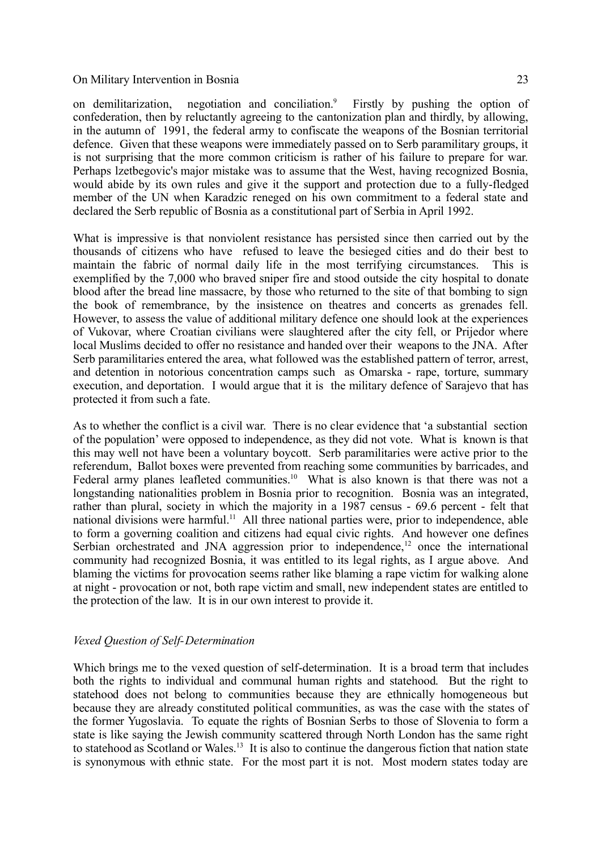on demilitarization, negotiation and conciliation.<sup>[9](#page-28-8)</sup> Firstly by pushing the option of confederation, then by reluctantly agreeing to the cantonization plan and thirdly, by allowing, in the autumn of 1991, the federal army to confiscate the weapons of the Bosnian territorial defence. Given that these weapons were immediately passed on to Serb paramilitary groups, it is not surprising that the more common criticism is rather of his failure to prepare for war. Perhaps lzetbegovic's major mistake was to assume that the West, having recognized Bosnia, would abide by its own rules and give it the support and protection due to a fully-fledged member of the UN when Karadzic reneged on his own commitment to a federal state and declared the Serb republic of Bosnia as a constitutional part of Serbia in April 1992.

What is impressive is that nonviolent resistance has persisted since then carried out by the thousands of citizens who have refused to leave the besieged cities and do their best to maintain the fabric of normal daily life in the most terrifying circumstances. This is exemplified by the 7,000 who braved sniper fire and stood outside the city hospital to donate blood after the bread line massacre, by those who returned to the site of that bombing to sign the book of remembrance, by the insistence on theatres and concerts as grenades fell. However, to assess the value of additional military defence one should look at the experiences of Vukovar, where Croatian civilians were slaughtered after the city fell, or Prijedor where local Muslims decided to offer no resistance and handed over their weapons to the JNA. After Serb paramilitaries entered the area, what followed was the established pattern of terror, arrest, and detention in notorious concentration camps such as Omarska - rape, torture, summary execution, and deportation. I would argue that it is the military defence of Sarajevo that has protected it from such a fate.

As to whether the conflict is a civil war. There is no clear evidence that 'a substantial section of the population' were opposed to independence, as they did not vote. What is known is that this may well not have been a voluntary boycott. Serb paramilitaries were active prior to the referendum, Ballot boxes were prevented from reaching some communities by barricades, and Federal army planes leafleted communities.<sup>[10](#page-28-9)</sup> What is also known is that there was not a longstanding nationalities problem in Bosnia prior to recognition. Bosnia was an integrated, rather than plural, society in which the majority in a 1987 census - 69.6 percent - felt that national divisions were harmful.<sup>[11](#page-28-10)</sup> All three national parties were, prior to independence, able to form a governing coalition and citizens had equal civic rights. And however one defines Serbian orchestrated and JNA aggression prior to independence,<sup>[12](#page-28-11)</sup> once the international community had recognized Bosnia, it was entitled to its legal rights, as I argue above. And blaming the victims for provocation seems rather like blaming a rape victim for walking alone at night - provocation or not, both rape victim and small, new independent states are entitled to the protection of the law. It is in our own interest to provide it.

### *Vexed Question of Self-Determination*

Which brings me to the vexed question of self-determination. It is a broad term that includes both the rights to individual and communal human rights and statehood. But the right to statehood does not belong to communities because they are ethnically homogeneous but because they are already constituted political communities, as was the case with the states of the former Yugoslavia. To equate the rights of Bosnian Serbs to those of Slovenia to form a state is like saying the Jewish community scattered through North London has the same right to statehood as Scotland or Wales.<sup>[13](#page-28-12)</sup> It is also to continue the dangerous fiction that nation state is synonymous with ethnic state. For the most part it is not. Most modern states today are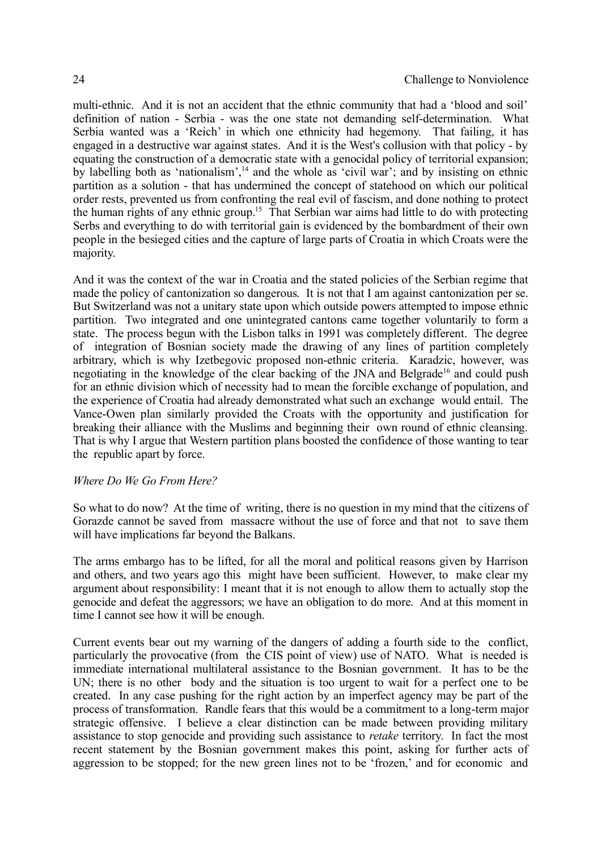multi-ethnic. And it is not an accident that the ethnic community that had a 'blood and soil' definition of nation - Serbia - was the one state not demanding self-determination. What Serbia wanted was a 'Reich' in which one ethnicity had hegemony. That failing, it has engaged in a destructive war against states. And it is the West's collusion with that policy - by equating the construction of a democratic state with a genocidal policy of territorial expansion; by labelling both as 'nationalism',<sup>[14](#page-28-13)</sup> and the whole as 'civil war'; and by insisting on ethnic partition as a solution - that has undermined the concept of statehood on which our political order rests, prevented us from confronting the real evil of fascism, and done nothing to protect the human rights of any ethnic group.<sup>[15](#page-28-14)</sup> That Serbian war aims had little to do with protecting Serbs and everything to do with territorial gain is evidenced by the bombardment of their own people in the besieged cities and the capture of large parts of Croatia in which Croats were the majority.

And it was the context of the war in Croatia and the stated policies of the Serbian regime that made the policy of cantonization so dangerous. It is not that I am against cantonization per se. But Switzerland was not a unitary state upon which outside powers attempted to impose ethnic partition. Two integrated and one unintegrated cantons came together voluntarily to form a state. The process begun with the Lisbon talks in 1991 was completely different. The degree of integration of Bosnian society made the drawing of any lines of partition completely arbitrary, which is why Izetbegovic proposed non-ethnic criteria. Karadzic, however, was negotiating in the knowledge of the clear backing of the JNA and Belgrade [16](#page-28-15) and could push for an ethnic division which of necessity had to mean the forcible exchange of population, and the experience of Croatia had already demonstrated what such an exchange would entail. The Vance-Owen plan similarly provided the Croats with the opportunity and justification for breaking their alliance with the Muslims and beginning their own round of ethnic cleansing. That is why I argue that Western partition plans boosted the confidence of those wanting to tear the republic apart by force.

# *Where Do We Go From Here?*

So what to do now? At the time of writing, there is no question in my mind that the citizens of Gorazde cannot be saved from massacre without the use of force and that not to save them will have implications far beyond the Balkans.

The arms embargo has to be lifted, for all the moral and political reasons given by Harrison and others, and two years ago this might have been sufficient. However, to make clear my argument about responsibility: I meant that it is not enough to allow them to actually stop the genocide and defeat the aggressors; we have an obligation to do more. And at this moment in time I cannot see how it will be enough.

Current events bear out my warning of the dangers of adding a fourth side to the conflict, particularly the provocative (from the CIS point of view) use of NATO. What is needed is immediate international multilateral assistance to the Bosnian government. It has to be the UN; there is no other body and the situation is too urgent to wait for a perfect one to be created. In any case pushing for the right action by an imperfect agency may be part of the process of transformation. Randle fears that this would be a commitment to a long-term major strategic offensive. I believe a clear distinction can be made between providing military assistance to stop genocide and providing such assistance to *retake* territory. In fact the most recent statement by the Bosnian government makes this point, asking for further acts of aggression to be stopped; for the new green lines not to be 'frozen,' and for economic and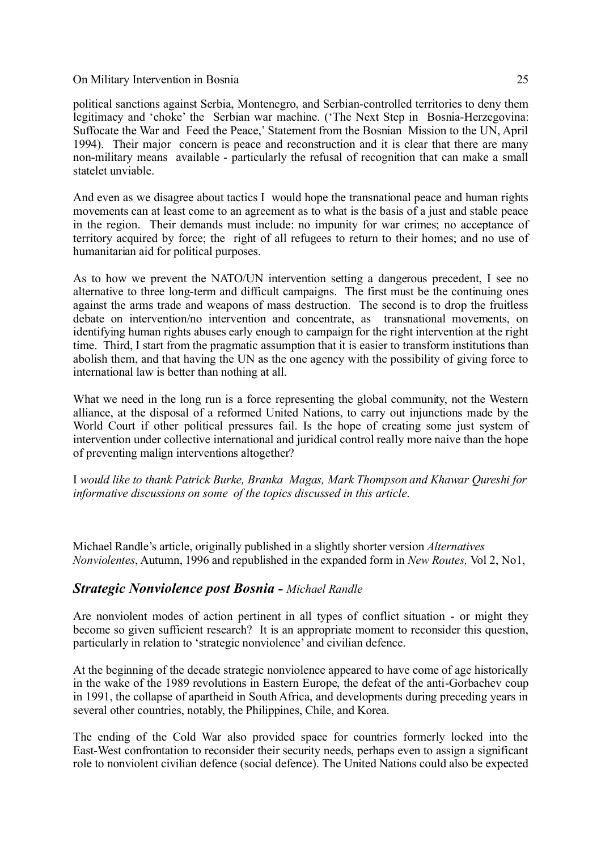political sanctions against Serbia, Montenegro, and Serbian-controlled territories to deny them legitimacy and 'choke' the Serbian war machine. ('The Next Step in Bosnia-Herzegovina: Suffocate the War and Feed the Peace,' Statement from the Bosnian Mission to the UN, April 1994). Their major concern is peace and reconstruction and it is clear that there are many non-military means available - particularly the refusal of recognition that can make a small statelet unviable.

And even as we disagree about tactics I would hope the transnational peace and human rights movements can at least come to an agreement as to what is the basis of a just and stable peace in the region. Their demands must include: no impunity for war crimes; no acceptance of territory acquired by force; the right of all refugees to return to their homes; and no use of humanitarian aid for political purposes.

As to how we prevent the NATO/UN intervention setting a dangerous precedent, I see no alternative to three long-term and difficult campaigns. The first must be the continuing ones against the arms trade and weapons of mass destruction. The second is to drop the fruitless debate on intervention/no intervention and concentrate, as transnational movements, on identifying human rights abuses early enough to campaign for the right intervention at the right time. Third, I start from the pragmatic assumption that it is easier to transform institutions than abolish them, and that having the UN as the one agency with the possibility of giving force to international law is better than nothing at all.

What we need in the long run is a force representing the global community, not the Western alliance, at the disposal of a reformed United Nations, to carry out injunctions made by the World Court if other political pressures fail. Is the hope of creating some just system of intervention under collective international and juridical control really more naive than the hope of preventing malign interventions altogether?

I *would like to thank Patrick Burke, Branka Magas, Mark Thompson and Khawar Qureshi for informative discussions on some of the topics discussed in this article*.

Michael Randle's article, originally published in a slightly shorter version *Alternatives Nonviolentes*, Autumn, 1996 and republished in the expanded form in *New Routes,* Vol 2, No1,

# *Strategic Nonviolence post Bosnia - Michael Randle*

Are nonviolent modes of action pertinent in all types of conflict situation - or might they become so given sufficient research? It is an appropriate moment to reconsider this question, particularly in relation to 'strategic nonviolence' and civilian defence.

At the beginning of the decade strategic nonviolence appeared to have come of age historically in the wake of the 1989 revolutions in Eastern Europe, the defeat of the anti-Gorbachev coup in 1991, the collapse of apartheid in South Africa, and developments during preceding years in several other countries, notably, the Philippines, Chile, and Korea.

The ending of the Cold War also provided space for countries formerly locked into the East-West confrontation to reconsider their security needs, perhaps even to assign a significant role to nonviolent civilian defence (social defence). The United Nations could also be expected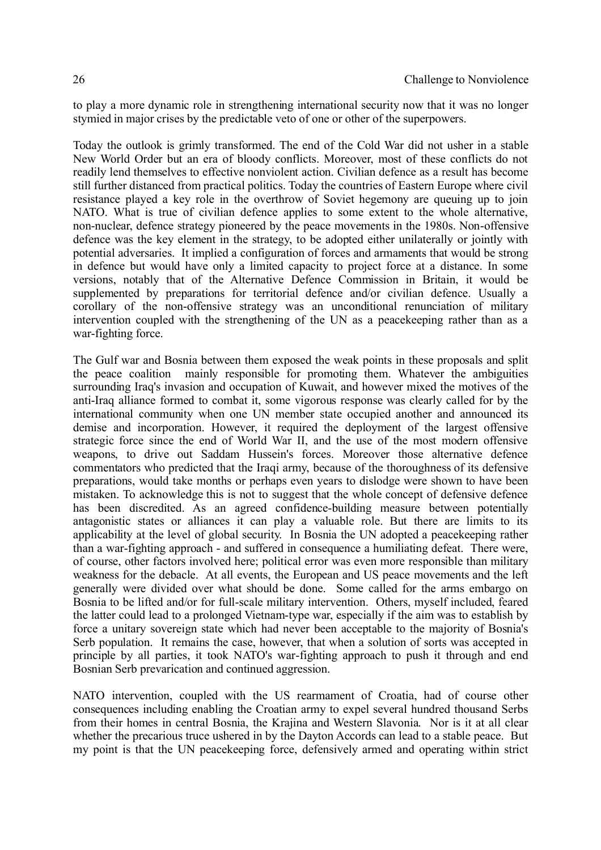to play a more dynamic role in strengthening international security now that it was no longer stymied in major crises by the predictable veto of one or other of the superpowers.

Today the outlook is grimly transformed. The end of the Cold War did not usher in a stable New World Order but an era of bloody conflicts. Moreover, most of these conflicts do not readily lend themselves to effective nonviolent action. Civilian defence as a result has become still further distanced from practical politics. Today the countries of Eastern Europe where civil resistance played a key role in the overthrow of Soviet hegemony are queuing up to join NATO. What is true of civilian defence applies to some extent to the whole alternative, non-nuclear, defence strategy pioneered by the peace movements in the 1980s. Non-offensive defence was the key element in the strategy, to be adopted either unilaterally or jointly with potential adversaries. It implied a configuration of forces and armaments that would be strong in defence but would have only a limited capacity to project force at a distance. In some versions, notably that of the Alternative Defence Commission in Britain, it would be supplemented by preparations for territorial defence and/or civilian defence. Usually a corollary of the non-offensive strategy was an unconditional renunciation of military intervention coupled with the strengthening of the UN as a peacekeeping rather than as a war-fighting force.

The Gulf war and Bosnia between them exposed the weak points in these proposals and split the peace coalition mainly responsible for promoting them. Whatever the ambiguities surrounding Iraq's invasion and occupation of Kuwait, and however mixed the motives of the anti-Iraq alliance formed to combat it, some vigorous response was clearly called for by the international community when one UN member state occupied another and announced its demise and incorporation. However, it required the deployment of the largest offensive strategic force since the end of World War II, and the use of the most modern offensive weapons, to drive out Saddam Hussein's forces. Moreover those alternative defence commentators who predicted that the Iraqi army, because of the thoroughness of its defensive preparations, would take months or perhaps even years to dislodge were shown to have been mistaken. To acknowledge this is not to suggest that the whole concept of defensive defence has been discredited. As an agreed confidence-building measure between potentially antagonistic states or alliances it can play a valuable role. But there are limits to its applicability at the level of global security. In Bosnia the UN adopted a peacekeeping rather than a war-fighting approach - and suffered in consequence a humiliating defeat. There were, of course, other factors involved here; political error was even more responsible than military weakness for the debacle. At all events, the European and US peace movements and the left generally were divided over what should be done. Some called for the arms embargo on Bosnia to be lifted and/or for full-scale military intervention. Others, myself included, feared the latter could lead to a prolonged Vietnam-type war, especially if the aim was to establish by force a unitary sovereign state which had never been acceptable to the majority of Bosnia's Serb population. It remains the case, however, that when a solution of sorts was accepted in principle by all parties, it took NATO's war-fighting approach to push it through and end Bosnian Serb prevarication and continued aggression.

NATO intervention, coupled with the US rearmament of Croatia, had of course other consequences including enabling the Croatian army to expel several hundred thousand Serbs from their homes in central Bosnia, the Krajina and Western Slavonia. Nor is it at all clear whether the precarious truce ushered in by the Dayton Accords can lead to a stable peace. But my point is that the UN peacekeeping force, defensively armed and operating within strict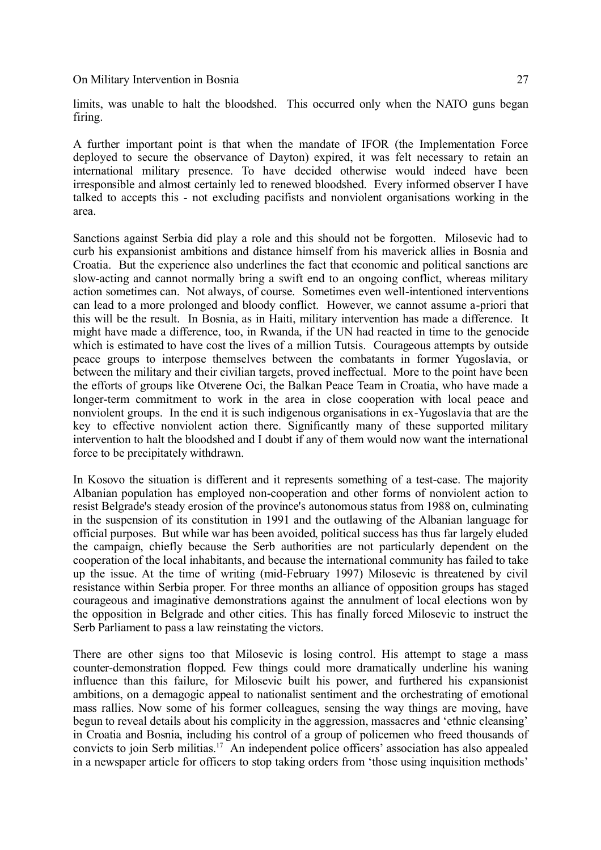limits, was unable to halt the bloodshed. This occurred only when the NATO guns began firing.

A further important point is that when the mandate of IFOR (the Implementation Force deployed to secure the observance of Dayton) expired, it was felt necessary to retain an international military presence. To have decided otherwise would indeed have been irresponsible and almost certainly led to renewed bloodshed. Every informed observer I have talked to accepts this - not excluding pacifists and nonviolent organisations working in the area.

Sanctions against Serbia did play a role and this should not be forgotten. Milosevic had to curb his expansionist ambitions and distance himself from his maverick allies in Bosnia and Croatia. But the experience also underlines the fact that economic and political sanctions are slow-acting and cannot normally bring a swift end to an ongoing conflict, whereas military action sometimes can. Not always, of course. Sometimes even well-intentioned interventions can lead to a more prolonged and bloody conflict. However, we cannot assume a-priori that this will be the result. In Bosnia, as in Haiti, military intervention has made a difference. It might have made a difference, too, in Rwanda, if the UN had reacted in time to the genocide which is estimated to have cost the lives of a million Tutsis. Courageous attempts by outside peace groups to interpose themselves between the combatants in former Yugoslavia, or between the military and their civilian targets, proved ineffectual. More to the point have been the efforts of groups like Otverene Oci, the Balkan Peace Team in Croatia, who have made a longer-term commitment to work in the area in close cooperation with local peace and nonviolent groups. In the end it is such indigenous organisations in ex-Yugoslavia that are the key to effective nonviolent action there. Significantly many of these supported military intervention to halt the bloodshed and I doubt if any of them would now want the international force to be precipitately withdrawn.

In Kosovo the situation is different and it represents something of a test-case. The majority Albanian population has employed non-cooperation and other forms of nonviolent action to resist Belgrade's steady erosion of the province's autonomous status from 1988 on, culminating in the suspension of its constitution in 1991 and the outlawing of the Albanian language for official purposes. But while war has been avoided, political success has thus far largely eluded the campaign, chiefly because the Serb authorities are not particularly dependent on the cooperation of the local inhabitants, and because the international community has failed to take up the issue. At the time of writing (mid-February 1997) Milosevic is threatened by civil resistance within Serbia proper. For three months an alliance of opposition groups has staged courageous and imaginative demonstrations against the annulment of local elections won by the opposition in Belgrade and other cities. This has finally forced Milosevic to instruct the Serb Parliament to pass a law reinstating the victors.

There are other signs too that Milosevic is losing control. His attempt to stage a mass counter-demonstration flopped. Few things could more dramatically underline his waning influence than this failure, for Milosevic built his power, and furthered his expansionist ambitions, on a demagogic appeal to nationalist sentiment and the orchestrating of emotional mass rallies. Now some of his former colleagues, sensing the way things are moving, have begun to reveal details about his complicity in the aggression, massacres and 'ethnic cleansing' in Croatia and Bosnia, including his control of a group of policemen who freed thousands of convicts to join Serb militias. [17](#page-28-16) An independent police officers' association has also appealed in a newspaper article for officers to stop taking orders from 'those using inquisition methods'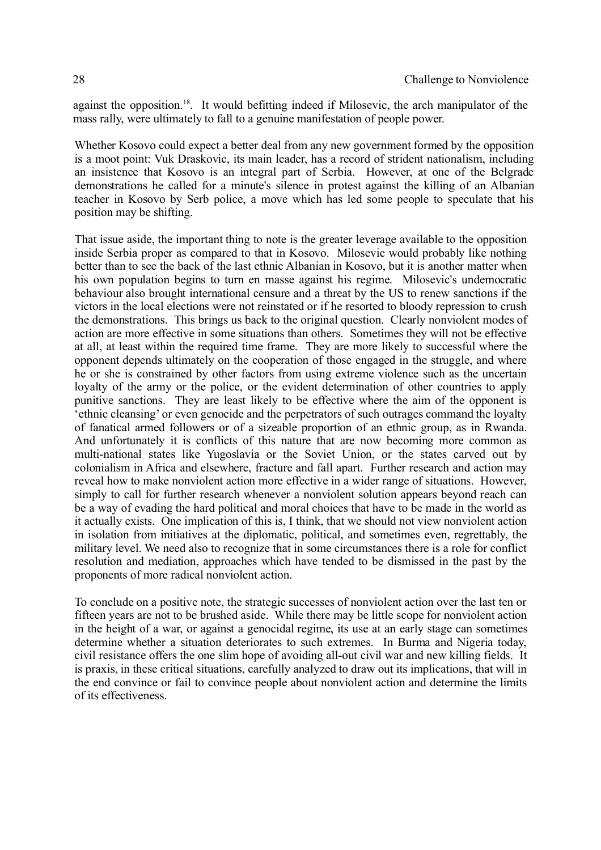against the opposition.<sup>[18](#page-28-17)</sup>. It would befitting indeed if Milosevic, the arch manipulator of the mass rally, were ultimately to fall to a genuine manifestation of people power.

Whether Kosovo could expect a better deal from any new government formed by the opposition is a moot point: Vuk Draskovic, its main leader, has a record of strident nationalism, including an insistence that Kosovo is an integral part of Serbia. However, at one of the Belgrade demonstrations he called for a minute's silence in protest against the killing of an Albanian teacher in Kosovo by Serb police, a move which has led some people to speculate that his position may be shifting.

That issue aside, the important thing to note is the greater leverage available to the opposition inside Serbia proper as compared to that in Kosovo. Milosevic would probably like nothing better than to see the back of the last ethnic Albanian in Kosovo, but it is another matter when his own population begins to turn en masse against his regime. Milosevic's undemocratic behaviour also brought international censure and a threat by the US to renew sanctions if the victors in the local elections were not reinstated or if he resorted to bloody repression to crush the demonstrations. This brings us back to the original question. Clearly nonviolent modes of action are more effective in some situations than others. Sometimes they will not be effective at all, at least within the required time frame. They are more likely to successful where the opponent depends ultimately on the cooperation of those engaged in the struggle, and where he or she is constrained by other factors from using extreme violence such as the uncertain loyalty of the army or the police, or the evident determination of other countries to apply punitive sanctions. They are least likely to be effective where the aim of the opponent is 'ethnic cleansing' or even genocide and the perpetrators of such outrages command the loyalty of fanatical armed followers or of a sizeable proportion of an ethnic group, as in Rwanda. And unfortunately it is conflicts of this nature that are now becoming more common as multi-national states like Yugoslavia or the Soviet Union, or the states carved out by colonialism in Africa and elsewhere, fracture and fall apart. Further research and action may reveal how to make nonviolent action more effective in a wider range of situations. However, simply to call for further research whenever a nonviolent solution appears beyond reach can be a way of evading the hard political and moral choices that have to be made in the world as it actually exists. One implication of this is, I think, that we should not view nonviolent action in isolation from initiatives at the diplomatic, political, and sometimes even, regrettably, the military level. We need also to recognize that in some circumstances there is a role for conflict resolution and mediation, approaches which have tended to be dismissed in the past by the proponents of more radical nonviolent action.

To conclude on a positive note, the strategic successes of nonviolent action over the last ten or fifteen years are not to be brushed aside. While there may be little scope for nonviolent action in the height of a war, or against a genocidal regime, its use at an early stage can sometimes determine whether a situation deteriorates to such extremes. In Burma and Nigeria today, civil resistance offers the one slim hope of avoiding all-out civil war and new killing fields. It is praxis, in these critical situations, carefully analyzed to draw out its implications, that will in the end convince or fail to convince people about nonviolent action and determine the limits of its effectiveness.